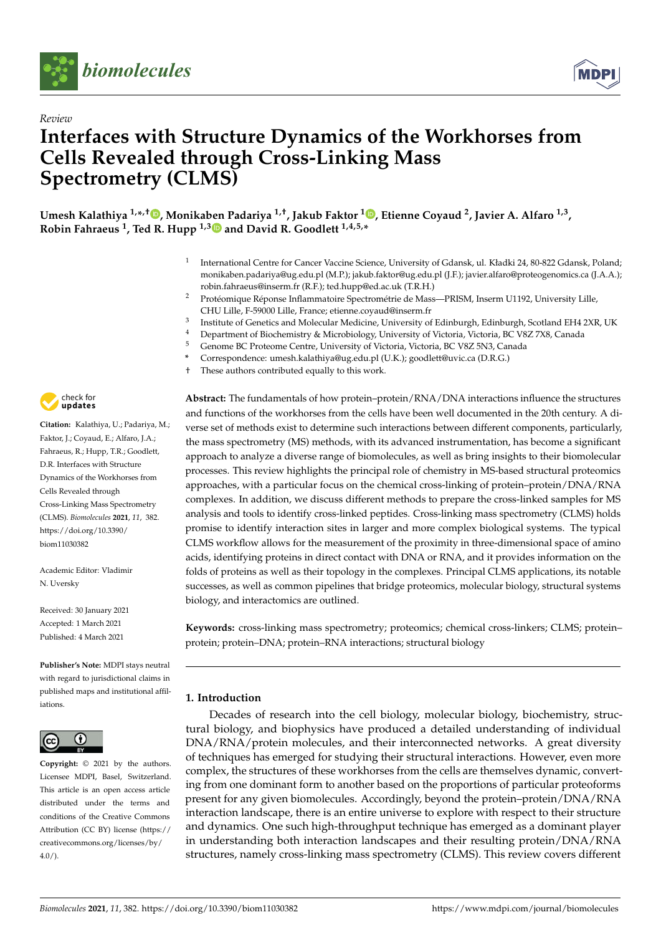



# *Review* **Interfaces with Structure Dynamics of the Workhorses from Cells Revealed through Cross-Linking Mass Spectrometry (CLMS)**

**Umesh Kalathiya 1,\* ,† , Monikaben Padariya 1,†, Jakub Faktor <sup>1</sup> , Etienne Coyaud <sup>2</sup> , Javier A. Alfaro 1,3 , Robin Fahraeus <sup>1</sup> , Ted R. Hupp 1,3 and David R. Goodlett 1,4,5,\***

- 1 International Centre for Cancer Vaccine Science, University of Gdansk, ul. Kładki 24, 80-822 Gdansk, Poland; monikaben.padariya@ug.edu.pl (M.P.); jakub.faktor@ug.edu.pl (J.F.); javier.alfaro@proteogenomics.ca (J.A.A.); robin.fahraeus@inserm.fr (R.F.); ted.hupp@ed.ac.uk (T.R.H.)
- <sup>2</sup> Protéomique Réponse Inflammatoire Spectrométrie de Mass—PRISM, Inserm U1192, University Lille, CHU Lille, F-59000 Lille, France; etienne.coyaud@inserm.fr
- 3 Institute of Genetics and Molecular Medicine, University of Edinburgh, Edinburgh, Scotland EH4 2XR, UK
- <sup>4</sup> Department of Biochemistry & Microbiology, University of Victoria, Victoria, BC V8Z 7X8, Canada<br><sup>5</sup> Canama BC Proteama Cantra University of Victoria, Victoria, BC V8Z 5N3, Canada
- <sup>5</sup> Genome BC Proteome Centre, University of Victoria, Victoria, BC V8Z 5N3, Canada
- **\*** Correspondence: umesh.kalathiya@ug.edu.pl (U.K.); goodlett@uvic.ca (D.R.G.)
- These authors contributed equally to this work.



**Citation:** Kalathiya, U.; Padariya, M.; Faktor, J.; Coyaud, E.; Alfaro, J.A.; Fahraeus, R.; Hupp, T.R.; Goodlett, D.R. Interfaces with Structure Dynamics of the Workhorses from Cells Revealed through Cross-Linking Mass Spectrometry (CLMS). *Biomolecules* **2021**, *11*, 382. https://doi.org/10.3390/ biom11030382

Academic Editor: Vladimir N. Uversky

Received: 30 January 2021 Accepted: 1 March 2021 Published: 4 March 2021

**Publisher's Note:** MDPI stays neutral with regard to jurisdictional claims in published maps and institutional affiliations.



**Copyright:** © 2021 by the authors. Licensee MDPI, Basel, Switzerland. This article is an open access article distributed under the terms and conditions of the Creative Commons Attribution (CC BY) license (https:// creativecommons.org/licenses/by/  $4.0/$ ).

**Abstract:** The fundamentals of how protein–protein/RNA/DNA interactions influence the structures and functions of the workhorses from the cells have been well documented in the 20th century. A diverse set of methods exist to determine such interactions between different components, particularly, the mass spectrometry (MS) methods, with its advanced instrumentation, has become a significant approach to analyze a diverse range of biomolecules, as well as bring insights to their biomolecular processes. This review highlights the principal role of chemistry in MS-based structural proteomics approaches, with a particular focus on the chemical cross-linking of protein–protein/DNA/RNA complexes. In addition, we discuss different methods to prepare the cross-linked samples for MS analysis and tools to identify cross-linked peptides. Cross-linking mass spectrometry (CLMS) holds promise to identify interaction sites in larger and more complex biological systems. The typical CLMS workflow allows for the measurement of the proximity in three-dimensional space of amino acids, identifying proteins in direct contact with DNA or RNA, and it provides information on the folds of proteins as well as their topology in the complexes. Principal CLMS applications, its notable successes, as well as common pipelines that bridge proteomics, molecular biology, structural systems biology, and interactomics are outlined.

**Keywords:** cross-linking mass spectrometry; proteomics; chemical cross-linkers; CLMS; protein– protein; protein–DNA; protein–RNA interactions; structural biology

# **1. Introduction**

Decades of research into the cell biology, molecular biology, biochemistry, structural biology, and biophysics have produced a detailed understanding of individual DNA/RNA/protein molecules, and their interconnected networks. A great diversity of techniques has emerged for studying their structural interactions. However, even more complex, the structures of these workhorses from the cells are themselves dynamic, converting from one dominant form to another based on the proportions of particular proteoforms present for any given biomolecules. Accordingly, beyond the protein–protein/DNA/RNA interaction landscape, there is an entire universe to explore with respect to their structure and dynamics. One such high-throughput technique has emerged as a dominant player in understanding both interaction landscapes and their resulting protein/DNA/RNA structures, namely cross-linking mass spectrometry (CLMS). This review covers different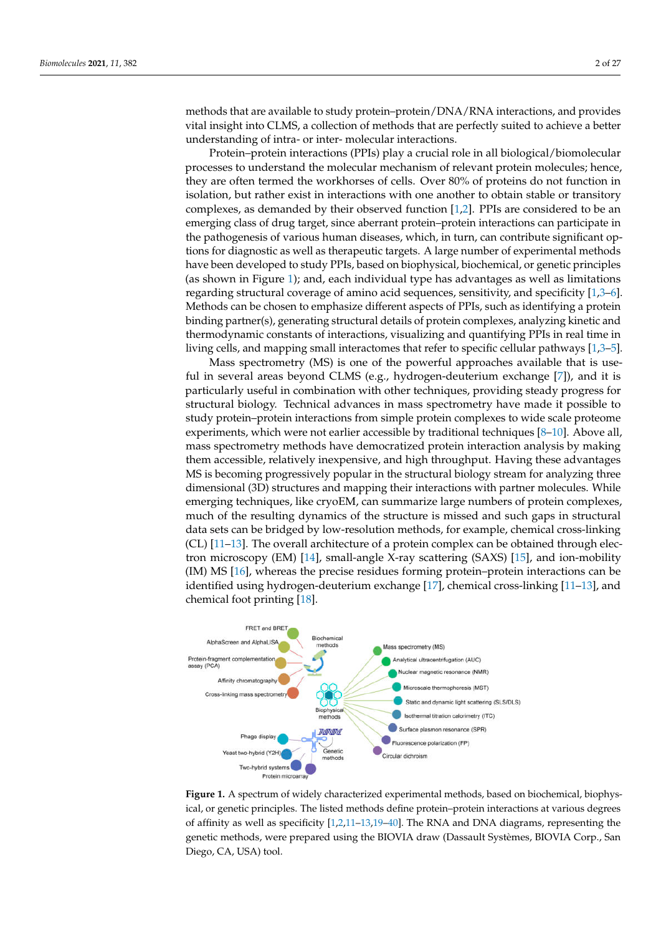methods that are available to study protein–protein/DNA/RNA interactions, and provides vital insight into CLMS, a collection of methods that are perfectly suited to achieve a better understanding of intra- or inter- molecular interactions.

Protein–protein interactions (PPIs) play a crucial role in all biological/biomolecular processes to understand the molecular mechanism of relevant protein molecules; hence, they are often termed the workhorses of cells. Over 80% of proteins do not function in isolation, but rather exist in interactions with one another to obtain stable or transitory complexes, as demanded by their observed function [1,2]. PPIs are considered to be an emerging class of drug target, since aberrant protein–protein interactions can participate in the pathogenesis of various human diseases, which, in turn, can contribute significant options for diagnostic as well as therapeutic targets. A large number of experimental methods have been developed to study PPIs, based on biophysical, biochemical, or genetic principles (as shown in Figure 1); and, each individual type has advantages as well as limitations regarding structural coverage of amino acid sequences, sensitivity, and specificity [1,3–6]. Methods can be chosen to emphasize different aspects of PPIs, such as identifying a protein binding partner(s), generating structural details of protein complexes, analyzing kinetic and thermodynamic constants of interactions, visualizing and quantifying PPIs in real time in living cells, and mapping small interactomes that refer to specific cellular pathways [1,3–5].

Mass spectrometry (MS) is one of the powerful approaches available that is useful in several areas beyond CLMS (e.g., hydrogen-deuterium exchange [7]), and it is particularly useful in combination with other techniques, providing steady progress for structural biology. Technical advances in mass spectrometry have made it possible to study protein–protein interactions from simple protein complexes to wide scale proteome experiments, which were not earlier accessible by traditional techniques [8–10]. Above all, mass spectrometry methods have democratized protein interaction analysis by making them accessible, relatively inexpensive, and high throughput. Having these advantages MS is becoming progressively popular in the structural biology stream for analyzing three dimensional (3D) structures and mapping their interactions with partner molecules. While emerging techniques, like cryoEM, can summarize large numbers of protein complexes, much of the resulting dynamics of the structure is missed and such gaps in structural data sets can be bridged by low-resolution methods, for example, chemical cross-linking (CL) [11–13]. The overall architecture of a protein complex can be obtained through electron microscopy (EM) [14], small-angle X-ray scattering (SAXS) [15], and ion-mobility (IM) MS [16], whereas the precise residues forming protein–protein interactions can be identified using hydrogen-deuterium exchange [17], chemical cross-linking [11–13], and chemical foot printing [18].



**Figure 1.** A spectrum of widely characterized experimental methods, based on biochemical, biophysical, or genetic principles. The listed methods define protein–protein interactions at various degrees of affinity as well as specificity [1,2,11–13,19–40]. The RNA and DNA diagrams, representing the genetic methods, were prepared using the BIOVIA draw (Dassault Systèmes, BIOVIA Corp., San Diego, CA, USA) tool.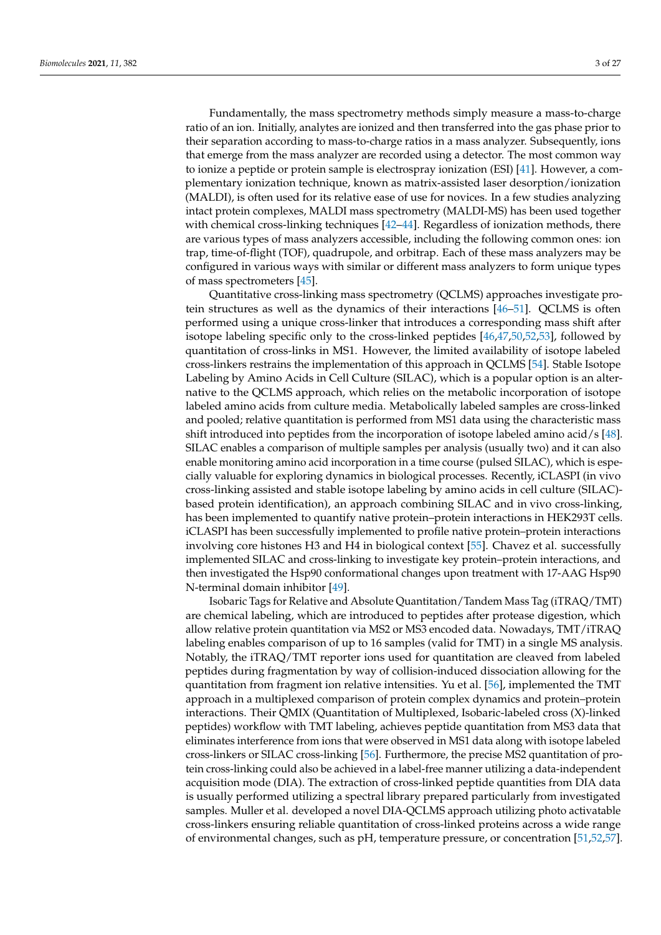Fundamentally, the mass spectrometry methods simply measure a mass-to-charge ratio of an ion. Initially, analytes are ionized and then transferred into the gas phase prior to their separation according to mass-to-charge ratios in a mass analyzer. Subsequently, ions that emerge from the mass analyzer are recorded using a detector. The most common way to ionize a peptide or protein sample is electrospray ionization (ESI) [41]. However, a complementary ionization technique, known as matrix-assisted laser desorption/ionization (MALDI), is often used for its relative ease of use for novices. In a few studies analyzing intact protein complexes, MALDI mass spectrometry (MALDI-MS) has been used together with chemical cross-linking techniques [42–44]. Regardless of ionization methods, there are various types of mass analyzers accessible, including the following common ones: ion trap, time-of-flight (TOF), quadrupole, and orbitrap. Each of these mass analyzers may be configured in various ways with similar or different mass analyzers to form unique types of mass spectrometers [45].

Quantitative cross-linking mass spectrometry (QCLMS) approaches investigate protein structures as well as the dynamics of their interactions [46–51]. QCLMS is often performed using a unique cross-linker that introduces a corresponding mass shift after isotope labeling specific only to the cross-linked peptides [46,47,50,52,53], followed by quantitation of cross-links in MS1. However, the limited availability of isotope labeled cross-linkers restrains the implementation of this approach in QCLMS [54]. Stable Isotope Labeling by Amino Acids in Cell Culture (SILAC), which is a popular option is an alternative to the QCLMS approach, which relies on the metabolic incorporation of isotope labeled amino acids from culture media. Metabolically labeled samples are cross-linked and pooled; relative quantitation is performed from MS1 data using the characteristic mass shift introduced into peptides from the incorporation of isotope labeled amino acid/s [48]. SILAC enables a comparison of multiple samples per analysis (usually two) and it can also enable monitoring amino acid incorporation in a time course (pulsed SILAC), which is especially valuable for exploring dynamics in biological processes. Recently, iCLASPI (in vivo cross-linking assisted and stable isotope labeling by amino acids in cell culture (SILAC) based protein identification), an approach combining SILAC and in vivo cross-linking, has been implemented to quantify native protein–protein interactions in HEK293T cells. iCLASPI has been successfully implemented to profile native protein–protein interactions involving core histones H3 and H4 in biological context [55]. Chavez et al. successfully implemented SILAC and cross-linking to investigate key protein–protein interactions, and then investigated the Hsp90 conformational changes upon treatment with 17-AAG Hsp90 N-terminal domain inhibitor [49].

Isobaric Tags for Relative and Absolute Quantitation/Tandem Mass Tag (iTRAQ/TMT) are chemical labeling, which are introduced to peptides after protease digestion, which allow relative protein quantitation via MS2 or MS3 encoded data. Nowadays, TMT/iTRAQ labeling enables comparison of up to 16 samples (valid for TMT) in a single MS analysis. Notably, the iTRAQ/TMT reporter ions used for quantitation are cleaved from labeled peptides during fragmentation by way of collision-induced dissociation allowing for the quantitation from fragment ion relative intensities. Yu et al. [56], implemented the TMT approach in a multiplexed comparison of protein complex dynamics and protein–protein interactions. Their QMIX (Quantitation of Multiplexed, Isobaric-labeled cross (X)-linked peptides) workflow with TMT labeling, achieves peptide quantitation from MS3 data that eliminates interference from ions that were observed in MS1 data along with isotope labeled cross-linkers or SILAC cross-linking [56]. Furthermore, the precise MS2 quantitation of protein cross-linking could also be achieved in a label-free manner utilizing a data-independent acquisition mode (DIA). The extraction of cross-linked peptide quantities from DIA data is usually performed utilizing a spectral library prepared particularly from investigated samples. Muller et al. developed a novel DIA-QCLMS approach utilizing photo activatable cross-linkers ensuring reliable quantitation of cross-linked proteins across a wide range of environmental changes, such as pH, temperature pressure, or concentration [51,52,57].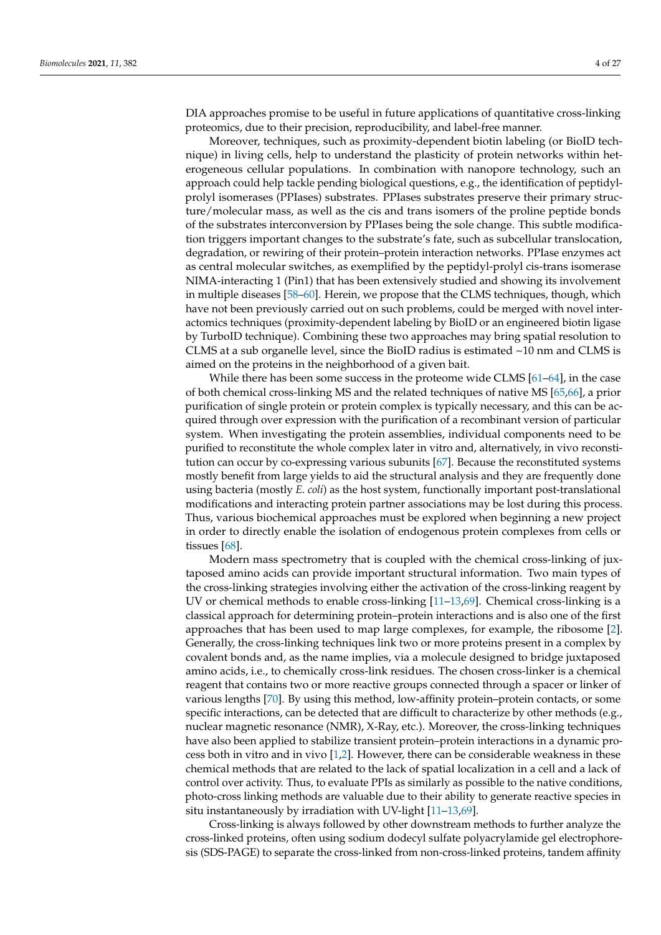DIA approaches promise to be useful in future applications of quantitative cross-linking proteomics, due to their precision, reproducibility, and label-free manner.

Moreover, techniques, such as proximity-dependent biotin labeling (or BioID technique) in living cells, help to understand the plasticity of protein networks within heterogeneous cellular populations. In combination with nanopore technology, such an approach could help tackle pending biological questions, e.g., the identification of peptidylprolyl isomerases (PPIases) substrates. PPIases substrates preserve their primary structure/molecular mass, as well as the cis and trans isomers of the proline peptide bonds of the substrates interconversion by PPIases being the sole change. This subtle modification triggers important changes to the substrate's fate, such as subcellular translocation, degradation, or rewiring of their protein–protein interaction networks. PPIase enzymes act as central molecular switches, as exemplified by the peptidyl-prolyl cis-trans isomerase NIMA-interacting 1 (Pin1) that has been extensively studied and showing its involvement in multiple diseases [58–60]. Herein, we propose that the CLMS techniques, though, which have not been previously carried out on such problems, could be merged with novel interactomics techniques (proximity-dependent labeling by BioID or an engineered biotin ligase by TurboID technique). Combining these two approaches may bring spatial resolution to CLMS at a sub organelle level, since the BioID radius is estimated  $\sim$ 10 nm and CLMS is aimed on the proteins in the neighborhood of a given bait.

While there has been some success in the proteome wide CLMS [61–64], in the case of both chemical cross-linking MS and the related techniques of native MS [65,66], a prior purification of single protein or protein complex is typically necessary, and this can be acquired through over expression with the purification of a recombinant version of particular system. When investigating the protein assemblies, individual components need to be purified to reconstitute the whole complex later in vitro and, alternatively, in vivo reconstitution can occur by co-expressing various subunits [67]. Because the reconstituted systems mostly benefit from large yields to aid the structural analysis and they are frequently done using bacteria (mostly *E. coli*) as the host system, functionally important post-translational modifications and interacting protein partner associations may be lost during this process. Thus, various biochemical approaches must be explored when beginning a new project in order to directly enable the isolation of endogenous protein complexes from cells or tissues [68].

Modern mass spectrometry that is coupled with the chemical cross-linking of juxtaposed amino acids can provide important structural information. Two main types of the cross-linking strategies involving either the activation of the cross-linking reagent by UV or chemical methods to enable cross-linking [11–13,69]. Chemical cross-linking is a classical approach for determining protein–protein interactions and is also one of the first approaches that has been used to map large complexes, for example, the ribosome [2]. Generally, the cross-linking techniques link two or more proteins present in a complex by covalent bonds and, as the name implies, via a molecule designed to bridge juxtaposed amino acids, i.e., to chemically cross-link residues. The chosen cross-linker is a chemical reagent that contains two or more reactive groups connected through a spacer or linker of various lengths [70]. By using this method, low-affinity protein–protein contacts, or some specific interactions, can be detected that are difficult to characterize by other methods (e.g., nuclear magnetic resonance (NMR), X-Ray, etc.). Moreover, the cross-linking techniques have also been applied to stabilize transient protein–protein interactions in a dynamic process both in vitro and in vivo  $[1,2]$ . However, there can be considerable weakness in these chemical methods that are related to the lack of spatial localization in a cell and a lack of control over activity. Thus, to evaluate PPIs as similarly as possible to the native conditions, photo-cross linking methods are valuable due to their ability to generate reactive species in situ instantaneously by irradiation with UV-light [11–13,69].

Cross-linking is always followed by other downstream methods to further analyze the cross-linked proteins, often using sodium dodecyl sulfate polyacrylamide gel electrophoresis (SDS-PAGE) to separate the cross-linked from non-cross-linked proteins, tandem affinity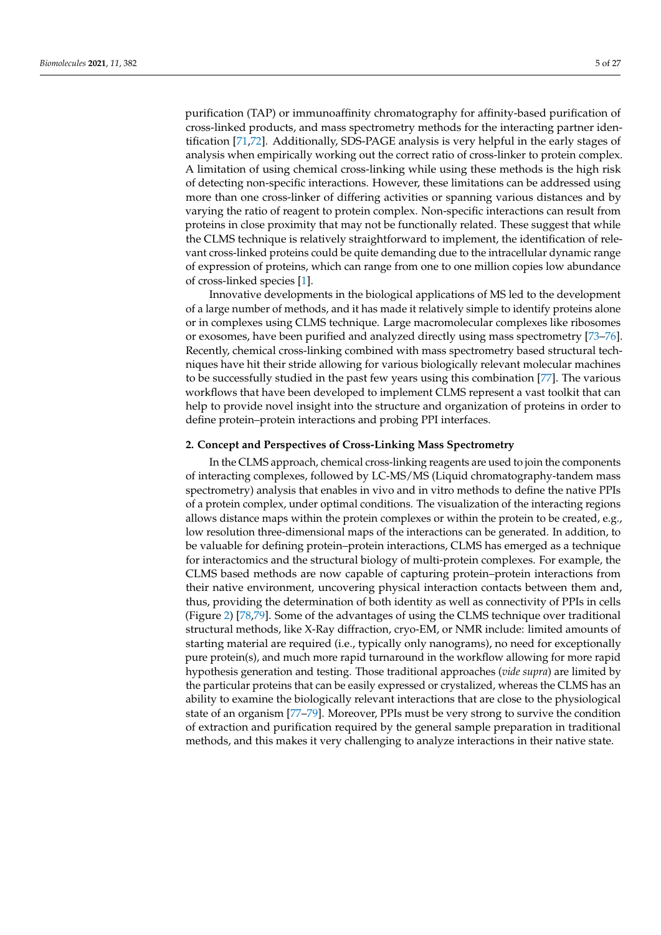purification (TAP) or immunoaffinity chromatography for affinity-based purification of cross-linked products, and mass spectrometry methods for the interacting partner identification [71,72]. Additionally, SDS-PAGE analysis is very helpful in the early stages of analysis when empirically working out the correct ratio of cross-linker to protein complex. A limitation of using chemical cross-linking while using these methods is the high risk of detecting non-specific interactions. However, these limitations can be addressed using more than one cross-linker of differing activities or spanning various distances and by varying the ratio of reagent to protein complex. Non-specific interactions can result from proteins in close proximity that may not be functionally related. These suggest that while the CLMS technique is relatively straightforward to implement, the identification of relevant cross-linked proteins could be quite demanding due to the intracellular dynamic range of expression of proteins, which can range from one to one million copies low abundance of cross-linked species [1].

Innovative developments in the biological applications of MS led to the development of a large number of methods, and it has made it relatively simple to identify proteins alone or in complexes using CLMS technique. Large macromolecular complexes like ribosomes or exosomes, have been purified and analyzed directly using mass spectrometry [73–76]. Recently, chemical cross-linking combined with mass spectrometry based structural techniques have hit their stride allowing for various biologically relevant molecular machines to be successfully studied in the past few years using this combination [77]. The various workflows that have been developed to implement CLMS represent a vast toolkit that can help to provide novel insight into the structure and organization of proteins in order to define protein–protein interactions and probing PPI interfaces.

## **2. Concept and Perspectives of Cross-Linking Mass Spectrometry**

In the CLMS approach, chemical cross-linking reagents are used to join the components of interacting complexes, followed by LC-MS/MS (Liquid chromatography-tandem mass spectrometry) analysis that enables in vivo and in vitro methods to define the native PPIs of a protein complex, under optimal conditions. The visualization of the interacting regions allows distance maps within the protein complexes or within the protein to be created, e.g., low resolution three-dimensional maps of the interactions can be generated. In addition, to be valuable for defining protein–protein interactions, CLMS has emerged as a technique for interactomics and the structural biology of multi-protein complexes. For example, the CLMS based methods are now capable of capturing protein–protein interactions from their native environment, uncovering physical interaction contacts between them and, thus, providing the determination of both identity as well as connectivity of PPIs in cells (Figure 2) [78,79]. Some of the advantages of using the CLMS technique over traditional structural methods, like X-Ray diffraction, cryo-EM, or NMR include: limited amounts of starting material are required (i.e., typically only nanograms), no need for exceptionally pure protein(s), and much more rapid turnaround in the workflow allowing for more rapid hypothesis generation and testing. Those traditional approaches (*vide supra*) are limited by the particular proteins that can be easily expressed or crystalized, whereas the CLMS has an ability to examine the biologically relevant interactions that are close to the physiological state of an organism [77–79]. Moreover, PPIs must be very strong to survive the condition of extraction and purification required by the general sample preparation in traditional methods, and this makes it very challenging to analyze interactions in their native state.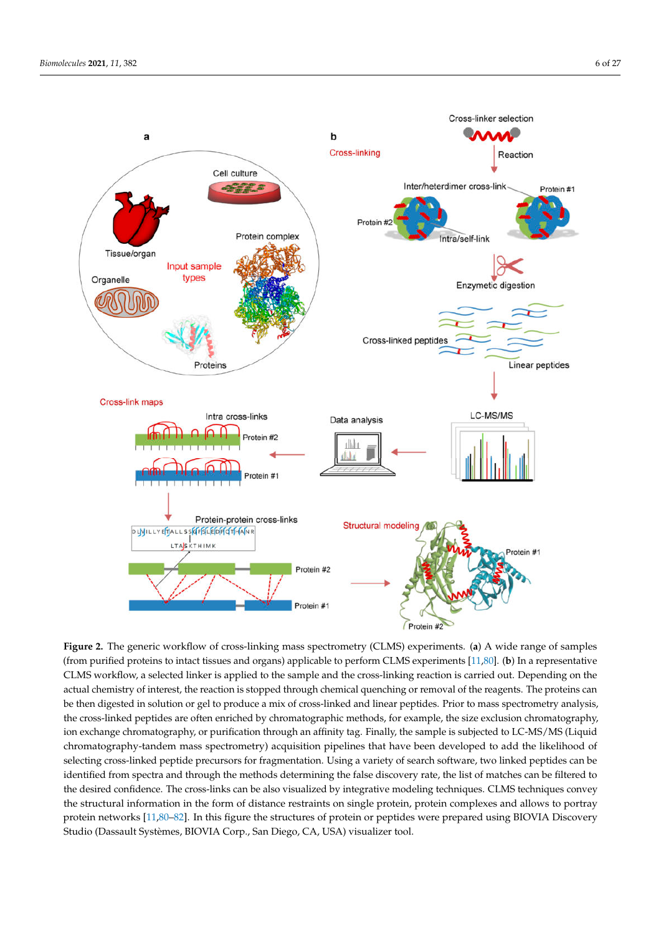

**Figure 2.** The generic workflow of cross-linking mass spectrometry (CLMS) experiments. (**a**) A wide range of samples (from purified proteins to intact tissues and organs) applicable to perform CLMS experiments [11,80]. (**b**) In a representative CLMS workflow, a selected linker is applied to the sample and the cross-linking reaction is carried out. Depending on the actual chemistry of interest, the reaction is stopped through chemical quenching or removal of the reagents. The proteins can be then digested in solution or gel to produce a mix of cross-linked and linear peptides. Prior to mass spectrometry analysis, the cross-linked peptides are often enriched by chromatographic methods, for example, the size exclusion chromatography, ion exchange chromatography, or purification through an affinity tag. Finally, the sample is subjected to LC-MS/MS (Liquid chromatography-tandem mass spectrometry) acquisition pipelines that have been developed to add the likelihood of selecting cross-linked peptide precursors for fragmentation. Using a variety of search software, two linked peptides can be identified from spectra and through the methods determining the false discovery rate, the list of matches can be filtered to the desired confidence. The cross-links can be also visualized by integrative modeling techniques. CLMS techniques convey the structural information in the form of distance restraints on single protein, protein complexes and allows to portray protein networks [11,80–82]. In this figure the structures of protein or peptides were prepared using BIOVIA Discovery Studio (Dassault Systèmes, BIOVIA Corp., San Diego, CA, USA) visualizer tool.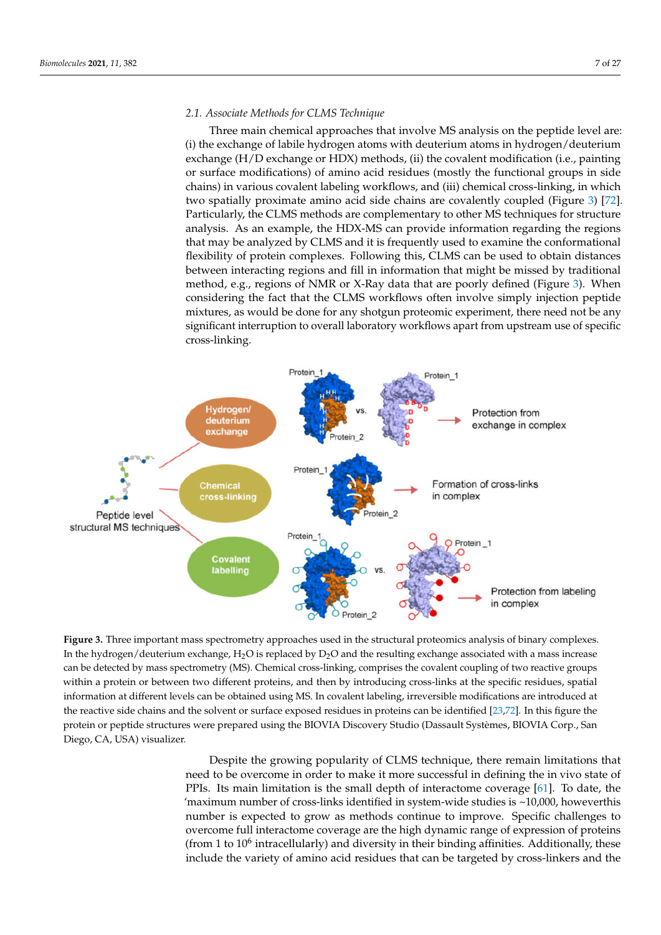# *2.1. Associate Methods for CLMS Technique*

Three main chemical approaches that involve MS analysis on the peptide level are: (i) the exchange of labile hydrogen atoms with deuterium atoms in hydrogen/deuterium exchange (H/D exchange or HDX) methods, (ii) the covalent modification (i.e., painting or surface modifications) of amino acid residues (mostly the functional groups in side chains) in various covalent labeling workflows, and (iii) chemical cross-linking, in which two spatially proximate amino acid side chains are covalently coupled (Figure 3) [72]. Particularly, the CLMS methods are complementary to other MS techniques for structure analysis. As an example, the HDX-MS can provide information regarding the regions that may be analyzed by CLMS and it is frequently used to examine the conformational flexibility of protein complexes. Following this, CLMS can be used to obtain distances between interacting regions and fill in information that might be missed by traditional method, e.g., regions of NMR or X-Ray data that are poorly defined (Figure 3). When considering the fact that the CLMS workflows often involve simply injection peptide mixtures, as would be done for any shotgun proteomic experiment, there need not be any significant interruption to overall laboratory workflows apart from upstream use of specific cross-linking.



**Figure 3.** Three important mass spectrometry approaches used in the structural proteomics analysis of binary complexes. In the hydrogen/deuterium exchange,  $H_2O$  is replaced by  $D_2O$  and the resulting exchange associated with a mass increase can be detected by mass spectrometry (MS). Chemical cross-linking, comprises the covalent coupling of two reactive groups within a protein or between two different proteins, and then by introducing cross-links at the specific residues, spatial information at different levels can be obtained using MS. In covalent labeling, irreversible modifications are introduced at the reactive side chains and the solvent or surface exposed residues in proteins can be identified [23,72]. In this figure the protein or peptide structures were prepared using the BIOVIA Discovery Studio (Dassault Systèmes, BIOVIA Corp., San Diego, CA, USA) visualizer.

Despite the growing popularity of CLMS technique, there remain limitations that need to be overcome in order to make it more successful in defining the in vivo state of PPIs. Its main limitation is the small depth of interactome coverage [61]. To date, the 'maximum number of cross-links identified in system-wide studies is ~10,000, howeverthis number is expected to grow as methods continue to improve. Specific challenges to overcome full interactome coverage are the high dynamic range of expression of proteins (from 1 to  $10^6$  intracellularly) and diversity in their binding affinities. Additionally, these include the variety of amino acid residues that can be targeted by cross-linkers and the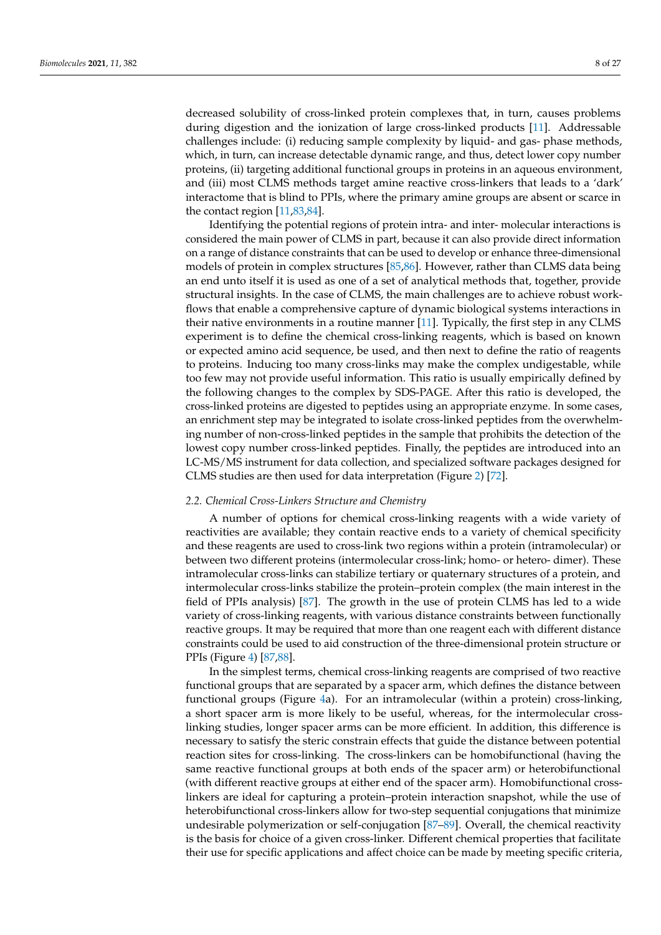decreased solubility of cross-linked protein complexes that, in turn, causes problems during digestion and the ionization of large cross-linked products [11]. Addressable challenges include: (i) reducing sample complexity by liquid- and gas- phase methods, which, in turn, can increase detectable dynamic range, and thus, detect lower copy number proteins, (ii) targeting additional functional groups in proteins in an aqueous environment, and (iii) most CLMS methods target amine reactive cross-linkers that leads to a 'dark' interactome that is blind to PPIs, where the primary amine groups are absent or scarce in the contact region [11,83,84].

Identifying the potential regions of protein intra- and inter- molecular interactions is considered the main power of CLMS in part, because it can also provide direct information on a range of distance constraints that can be used to develop or enhance three-dimensional models of protein in complex structures [85,86]. However, rather than CLMS data being an end unto itself it is used as one of a set of analytical methods that, together, provide structural insights. In the case of CLMS, the main challenges are to achieve robust workflows that enable a comprehensive capture of dynamic biological systems interactions in their native environments in a routine manner [11]. Typically, the first step in any CLMS experiment is to define the chemical cross-linking reagents, which is based on known or expected amino acid sequence, be used, and then next to define the ratio of reagents to proteins. Inducing too many cross-links may make the complex undigestable, while too few may not provide useful information. This ratio is usually empirically defined by the following changes to the complex by SDS-PAGE. After this ratio is developed, the cross-linked proteins are digested to peptides using an appropriate enzyme. In some cases, an enrichment step may be integrated to isolate cross-linked peptides from the overwhelming number of non-cross-linked peptides in the sample that prohibits the detection of the lowest copy number cross-linked peptides. Finally, the peptides are introduced into an LC-MS/MS instrument for data collection, and specialized software packages designed for CLMS studies are then used for data interpretation (Figure 2) [72].

#### *2.2. Chemical Cross-Linkers Structure and Chemistry*

A number of options for chemical cross-linking reagents with a wide variety of reactivities are available; they contain reactive ends to a variety of chemical specificity and these reagents are used to cross-link two regions within a protein (intramolecular) or between two different proteins (intermolecular cross-link; homo- or hetero- dimer). These intramolecular cross-links can stabilize tertiary or quaternary structures of a protein, and intermolecular cross-links stabilize the protein–protein complex (the main interest in the field of PPIs analysis) [87]. The growth in the use of protein CLMS has led to a wide variety of cross-linking reagents, with various distance constraints between functionally reactive groups. It may be required that more than one reagent each with different distance constraints could be used to aid construction of the three-dimensional protein structure or PPIs (Figure 4) [87,88].

In the simplest terms, chemical cross-linking reagents are comprised of two reactive functional groups that are separated by a spacer arm, which defines the distance between functional groups (Figure 4a). For an intramolecular (within a protein) cross-linking, a short spacer arm is more likely to be useful, whereas, for the intermolecular crosslinking studies, longer spacer arms can be more efficient. In addition, this difference is necessary to satisfy the steric constrain effects that guide the distance between potential reaction sites for cross-linking. The cross-linkers can be homobifunctional (having the same reactive functional groups at both ends of the spacer arm) or heterobifunctional (with different reactive groups at either end of the spacer arm). Homobifunctional crosslinkers are ideal for capturing a protein–protein interaction snapshot, while the use of heterobifunctional cross-linkers allow for two-step sequential conjugations that minimize undesirable polymerization or self-conjugation [87–89]. Overall, the chemical reactivity is the basis for choice of a given cross-linker. Different chemical properties that facilitate their use for specific applications and affect choice can be made by meeting specific criteria,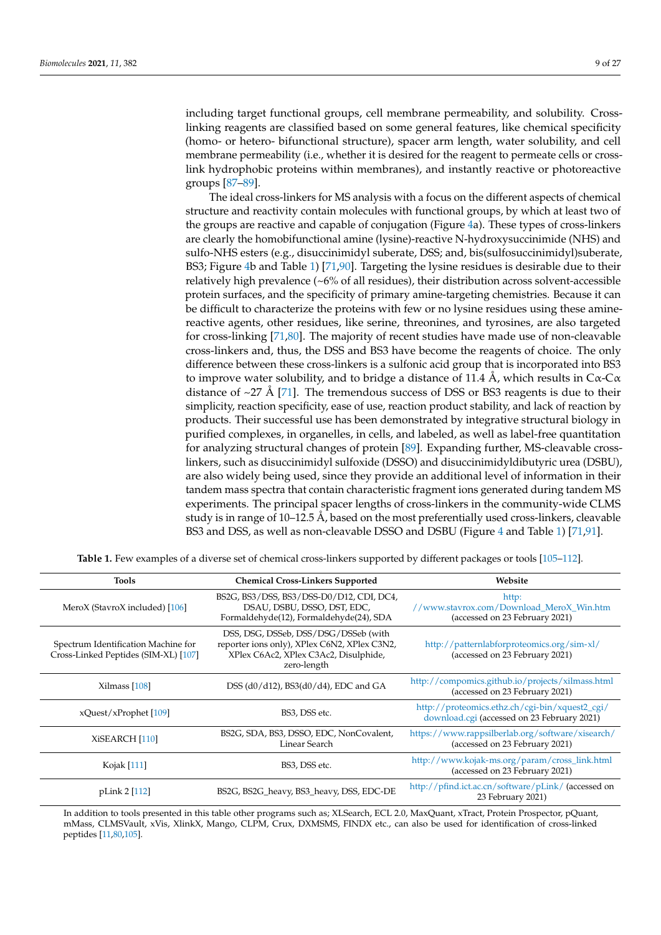including target functional groups, cell membrane permeability, and solubility. Crosslinking reagents are classified based on some general features, like chemical specificity (homo- or hetero- bifunctional structure), spacer arm length, water solubility, and cell membrane permeability (i.e., whether it is desired for the reagent to permeate cells or crosslink hydrophobic proteins within membranes), and instantly reactive or photoreactive groups [87–89].

The ideal cross-linkers for MS analysis with a focus on the different aspects of chemical structure and reactivity contain molecules with functional groups, by which at least two of the groups are reactive and capable of conjugation (Figure 4a). These types of cross-linkers are clearly the homobifunctional amine (lysine)-reactive N-hydroxysuccinimide (NHS) and sulfo-NHS esters (e.g., disuccinimidyl suberate, DSS; and, bis(sulfosuccinimidyl)suberate, BS3; Figure 4b and Table 1) [71,90]. Targeting the lysine residues is desirable due to their relatively high prevalence (~6% of all residues), their distribution across solvent-accessible protein surfaces, and the specificity of primary amine-targeting chemistries. Because it can be difficult to characterize the proteins with few or no lysine residues using these aminereactive agents, other residues, like serine, threonines, and tyrosines, are also targeted for cross-linking [71,80]. The majority of recent studies have made use of non-cleavable cross-linkers and, thus, the DSS and BS3 have become the reagents of choice. The only difference between these cross-linkers is a sulfonic acid group that is incorporated into BS3 to improve water solubility, and to bridge a distance of 11.4 Å, which results in  $C\alpha$ - $C\alpha$ distance of  $\sim$ 27 Å [71]. The tremendous success of DSS or BS3 reagents is due to their simplicity, reaction specificity, ease of use, reaction product stability, and lack of reaction by products. Their successful use has been demonstrated by integrative structural biology in purified complexes, in organelles, in cells, and labeled, as well as label-free quantitation for analyzing structural changes of protein [89]. Expanding further, MS-cleavable crosslinkers, such as disuccinimidyl sulfoxide (DSSO) and disuccinimidyldibutyric urea (DSBU), are also widely being used, since they provide an additional level of information in their tandem mass spectra that contain characteristic fragment ions generated during tandem MS experiments. The principal spacer lengths of cross-linkers in the community-wide CLMS study is in range of 10–12.5 Å, based on the most preferentially used cross-linkers, cleavable BS3 and DSS, as well as non-cleavable DSSO and DSBU (Figure 4 and Table 1) [71,91].

| Tools                                                                       | <b>Chemical Cross-Linkers Supported</b>                                                                                                      | Website                                                                                       |
|-----------------------------------------------------------------------------|----------------------------------------------------------------------------------------------------------------------------------------------|-----------------------------------------------------------------------------------------------|
| MeroX (StavroX included) [106]                                              | BS2G, BS3/DSS, BS3/DSS-D0/D12, CDI, DC4,<br>DSAU, DSBU, DSSO, DST, EDC,<br>Formaldehyde(12), Formaldehyde(24), SDA                           | http:<br>//www.stavrox.com/Download_MeroX_Win.htm<br>(accessed on 23 February 2021)           |
| Spectrum Identification Machine for<br>Cross-Linked Peptides (SIM-XL) [107] | DSS, DSG, DSSeb, DSS/DSG/DSSeb (with<br>reporter ions only), XPlex C6N2, XPlex C3N2,<br>XPlex C6Ac2, XPlex C3Ac2, Disulphide,<br>zero-length | http://patternlabforproteomics.org/sim-xl/<br>(accessed on 23 February 2021)                  |
| Xilmass [108]                                                               | DSS (d0/d12), BS3(d0/d4), EDC and GA                                                                                                         | http://compomics.github.io/projects/xilmass.html<br>(accessed on 23 February 2021)            |
| xQuest/xProphet [109]                                                       | BS3, DSS etc.                                                                                                                                | http://proteomics.ethz.ch/cgi-bin/xquest2_cgi/<br>download.cgi (accessed on 23 February 2021) |
| XiSEARCH [110]                                                              | BS2G, SDA, BS3, DSSO, EDC, NonCovalent,<br>Linear Search                                                                                     | https://www.rappsilberlab.org/software/xisearch/<br>(accessed on 23 February 2021)            |
| Kojak [111]                                                                 | BS3, DSS etc.                                                                                                                                | http://www.kojak-ms.org/param/cross_link.html<br>(accessed on 23 February 2021)               |
| pLink 2 [112]                                                               | BS2G, BS2G_heavy, BS3_heavy, DSS, EDC-DE                                                                                                     | http://pfind.ict.ac.cn/software/pLink/ (accessed on<br>23 February 2021)                      |

**Table 1.** Few examples of a diverse set of chemical cross-linkers supported by different packages or tools [105–112].

In addition to tools presented in this table other programs such as; XLSearch, ECL 2.0, MaxQuant, xTract, Protein Prospector, pQuant, mMass, CLMSVault, xVis, XlinkX, Mango, CLPM, Crux, DXMSMS, FINDX etc., can also be used for identification of cross-linked peptides [11,80,105].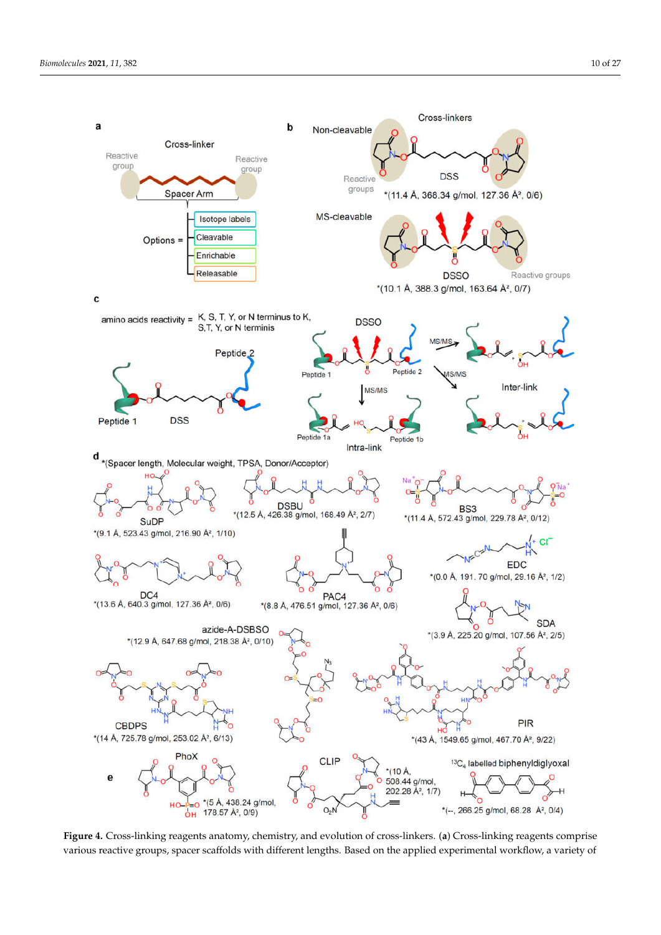

**Figure 4.** Cross-linking reagents anatomy, chemistry, and evolution of cross-linkers. (**a**) Cross-linking reagents comprise various reactive groups, spacer scaffolds with different lengths. Based on the applied experimental workflow, a variety of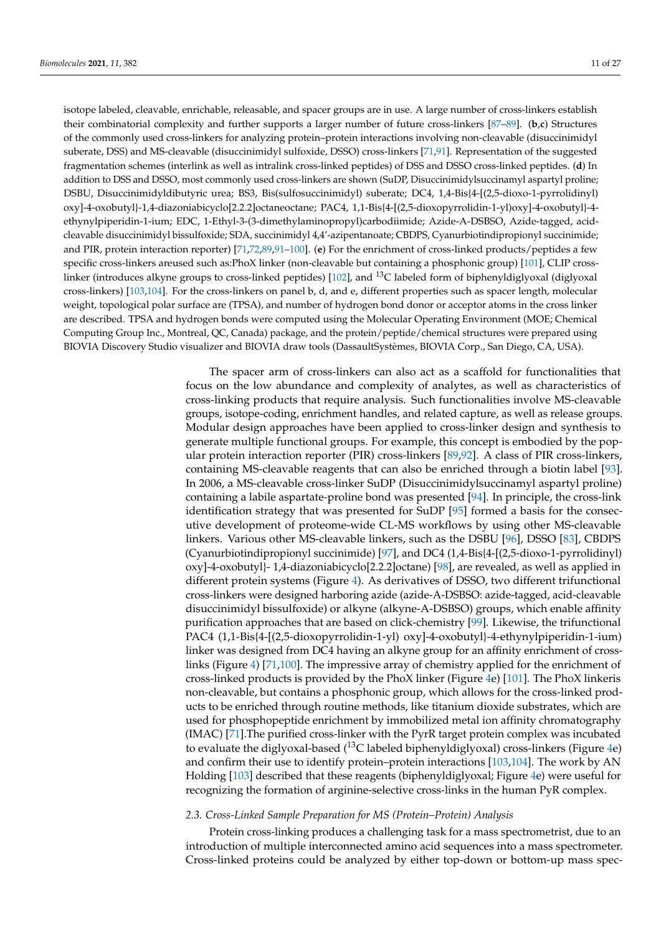isotope labeled, cleavable, enrichable, releasable, and spacer groups are in use. A large number of cross-linkers establish their combinatorial complexity and further supports a larger number of future cross-linkers [87–89]. (**b**,**c**) Structures of the commonly used cross-linkers for analyzing protein–protein interactions involving non-cleavable (disuccinimidyl suberate, DSS) and MS-cleavable (disuccinimidyl sulfoxide, DSSO) cross-linkers [71,91]. Representation of the suggested fragmentation schemes (interlink as well as intralink cross-linked peptides) of DSS and DSSO cross-linked peptides. (**d**) In addition to DSS and DSSO, most commonly used cross-linkers are shown (SuDP, Disuccinimidylsuccinamyl aspartyl proline; DSBU, Disuccinimidyldibutyric urea; BS3, Bis(sulfosuccinimidyl) suberate; DC4, 1,4-Bis{4-[(2,5-dioxo-1-pyrrolidinyl) oxy]-4-oxobutyl}-1,4-diazoniabicyclo[2.2.2]octaneoctane; PAC4, 1,1-Bis{4-[(2,5-dioxopyrrolidin-1-yl)oxy]-4-oxobutyl}-4 ethynylpiperidin-1-ium; EDC, 1-Ethyl-3-(3-dimethylaminopropyl)carbodiimide; Azide-A-DSBSO, Azide-tagged, acidcleavable disuccinimidyl bissulfoxide; SDA, succinimidyl 4,4'-azipentanoate; CBDPS, Cyanurbiotindipropionyl succinimide; and PIR, protein interaction reporter) [71,72,89,91–100]. (**e**) For the enrichment of cross-linked products/peptides a few specific cross-linkers areused such as:PhoX linker (non-cleavable but containing a phosphonic group) [101], CLIP crosslinker (introduces alkyne groups to cross-linked peptides) [102], and  $^{13}$ C labeled form of biphenyldiglyoxal (diglyoxal) cross-linkers) [103,104]. For the cross-linkers on panel b, d, and e, different properties such as spacer length, molecular weight, topological polar surface are (TPSA), and number of hydrogen bond donor or acceptor atoms in the cross linker are described. TPSA and hydrogen bonds were computed using the Molecular Operating Environment (MOE; Chemical Computing Group Inc., Montreal, QC, Canada) package, and the protein/peptide/chemical structures were prepared using BIOVIA Discovery Studio visualizer and BIOVIA draw tools (DassaultSystèmes, BIOVIA Corp., San Diego, CA, USA).

> The spacer arm of cross-linkers can also act as a scaffold for functionalities that focus on the low abundance and complexity of analytes, as well as characteristics of cross-linking products that require analysis. Such functionalities involve MS-cleavable groups, isotope-coding, enrichment handles, and related capture, as well as release groups. Modular design approaches have been applied to cross-linker design and synthesis to generate multiple functional groups. For example, this concept is embodied by the popular protein interaction reporter (PIR) cross-linkers [89,92]. A class of PIR cross-linkers, containing MS-cleavable reagents that can also be enriched through a biotin label [93]. In 2006, a MS-cleavable cross-linker SuDP (Disuccinimidylsuccinamyl aspartyl proline) containing a labile aspartate-proline bond was presented [94]. In principle, the cross-link identification strategy that was presented for SuDP [95] formed a basis for the consecutive development of proteome-wide CL-MS workflows by using other MS-cleavable linkers. Various other MS-cleavable linkers, such as the DSBU [96], DSSO [83], CBDPS (Cyanurbiotindipropionyl succinimide) [97], and DC4 (1,4-Bis{4-[(2,5-dioxo-1-pyrrolidinyl) oxy]-4-oxobutyl}- 1,4-diazoniabicyclo[2.2.2]octane) [98], are revealed, as well as applied in different protein systems (Figure 4). As derivatives of DSSO, two different trifunctional cross-linkers were designed harboring azide (azide-A-DSBSO: azide-tagged, acid-cleavable disuccinimidyl bissulfoxide) or alkyne (alkyne-A-DSBSO) groups, which enable affinity purification approaches that are based on click-chemistry [99]. Likewise, the trifunctional PAC4 (1,1-Bis{4-[(2,5-dioxopyrrolidin-1-yl) oxy]-4-oxobutyl}-4-ethynylpiperidin-1-ium) linker was designed from DC4 having an alkyne group for an affinity enrichment of crosslinks (Figure 4) [71,100]. The impressive array of chemistry applied for the enrichment of cross-linked products is provided by the PhoX linker (Figure 4e) [101]. The PhoX linkeris non-cleavable, but contains a phosphonic group, which allows for the cross-linked products to be enriched through routine methods, like titanium dioxide substrates, which are used for phosphopeptide enrichment by immobilized metal ion affinity chromatography (IMAC) [71].The purified cross-linker with the PyrR target protein complex was incubated to evaluate the diglyoxal-based  $(^{13}C$  labeled biphenyldiglyoxal) cross-linkers (Figure 4e) and confirm their use to identify protein–protein interactions [103,104]. The work by AN Holding [103] described that these reagents (biphenyldiglyoxal; Figure 4e) were useful for recognizing the formation of arginine-selective cross-links in the human PyR complex.

#### *2.3. Cross-Linked Sample Preparation for MS (Protein–Protein) Analysis*

Protein cross-linking produces a challenging task for a mass spectrometrist, due to an introduction of multiple interconnected amino acid sequences into a mass spectrometer. Cross-linked proteins could be analyzed by either top-down or bottom-up mass spec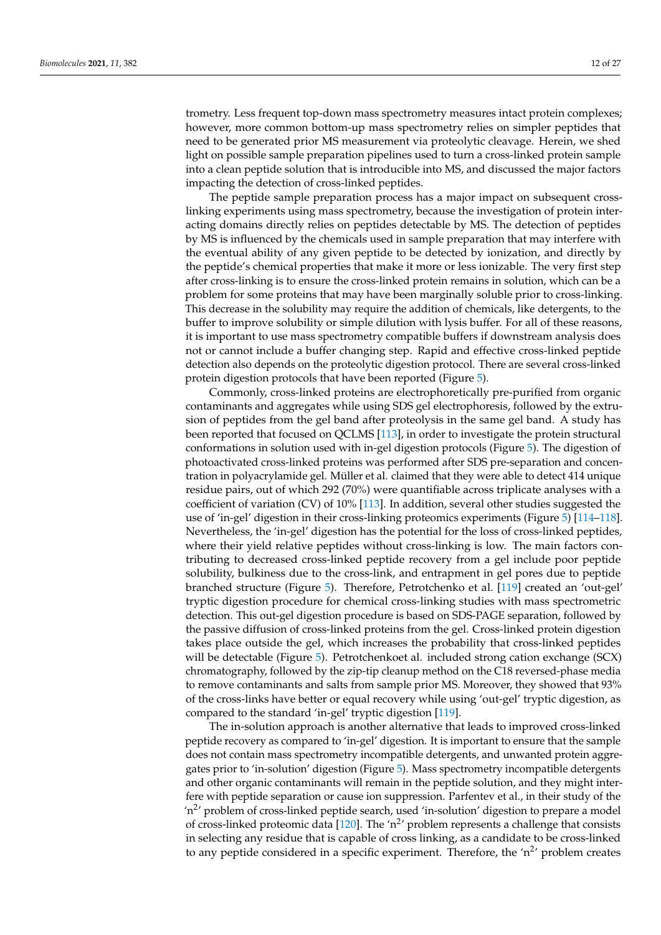trometry. Less frequent top-down mass spectrometry measures intact protein complexes; however, more common bottom-up mass spectrometry relies on simpler peptides that need to be generated prior MS measurement via proteolytic cleavage. Herein, we shed light on possible sample preparation pipelines used to turn a cross-linked protein sample into a clean peptide solution that is introducible into MS, and discussed the major factors impacting the detection of cross-linked peptides.

The peptide sample preparation process has a major impact on subsequent crosslinking experiments using mass spectrometry, because the investigation of protein interacting domains directly relies on peptides detectable by MS. The detection of peptides by MS is influenced by the chemicals used in sample preparation that may interfere with the eventual ability of any given peptide to be detected by ionization, and directly by the peptide's chemical properties that make it more or less ionizable. The very first step after cross-linking is to ensure the cross-linked protein remains in solution, which can be a problem for some proteins that may have been marginally soluble prior to cross-linking. This decrease in the solubility may require the addition of chemicals, like detergents, to the buffer to improve solubility or simple dilution with lysis buffer. For all of these reasons, it is important to use mass spectrometry compatible buffers if downstream analysis does not or cannot include a buffer changing step. Rapid and effective cross-linked peptide detection also depends on the proteolytic digestion protocol. There are several cross-linked protein digestion protocols that have been reported (Figure 5).

Commonly, cross-linked proteins are electrophoretically pre-purified from organic contaminants and aggregates while using SDS gel electrophoresis, followed by the extrusion of peptides from the gel band after proteolysis in the same gel band. A study has been reported that focused on QCLMS [113], in order to investigate the protein structural conformations in solution used with in-gel digestion protocols (Figure 5). The digestion of photoactivated cross-linked proteins was performed after SDS pre-separation and concentration in polyacrylamide gel. Müller et al. claimed that they were able to detect 414 unique residue pairs, out of which 292 (70%) were quantifiable across triplicate analyses with a coefficient of variation (CV) of 10% [113]. In addition, several other studies suggested the use of 'in-gel' digestion in their cross-linking proteomics experiments (Figure 5) [114–118]. Nevertheless, the 'in-gel' digestion has the potential for the loss of cross-linked peptides, where their yield relative peptides without cross-linking is low. The main factors contributing to decreased cross-linked peptide recovery from a gel include poor peptide solubility, bulkiness due to the cross-link, and entrapment in gel pores due to peptide branched structure (Figure 5). Therefore, Petrotchenko et al. [119] created an 'out-gel' tryptic digestion procedure for chemical cross-linking studies with mass spectrometric detection. This out-gel digestion procedure is based on SDS-PAGE separation, followed by the passive diffusion of cross-linked proteins from the gel. Cross-linked protein digestion takes place outside the gel, which increases the probability that cross-linked peptides will be detectable (Figure 5). Petrotchenkoet al. included strong cation exchange (SCX) chromatography, followed by the zip-tip cleanup method on the C18 reversed-phase media to remove contaminants and salts from sample prior MS. Moreover, they showed that 93% of the cross-links have better or equal recovery while using 'out-gel' tryptic digestion, as compared to the standard 'in-gel' tryptic digestion [119].

The in-solution approach is another alternative that leads to improved cross-linked peptide recovery as compared to 'in-gel' digestion. It is important to ensure that the sample does not contain mass spectrometry incompatible detergents, and unwanted protein aggregates prior to 'in-solution' digestion (Figure 5). Mass spectrometry incompatible detergents and other organic contaminants will remain in the peptide solution, and they might interfere with peptide separation or cause ion suppression. Parfentev et al., in their study of the 'n<sup>2</sup>' problem of cross-linked peptide search, used 'in-solution' digestion to prepare a model of cross-linked proteomic data [ $120$ ]. The 'n<sup>2</sup>' problem represents a challenge that consists in selecting any residue that is capable of cross linking, as a candidate to be cross-linked to any peptide considered in a specific experiment. Therefore, the ' $n^2$ ' problem creates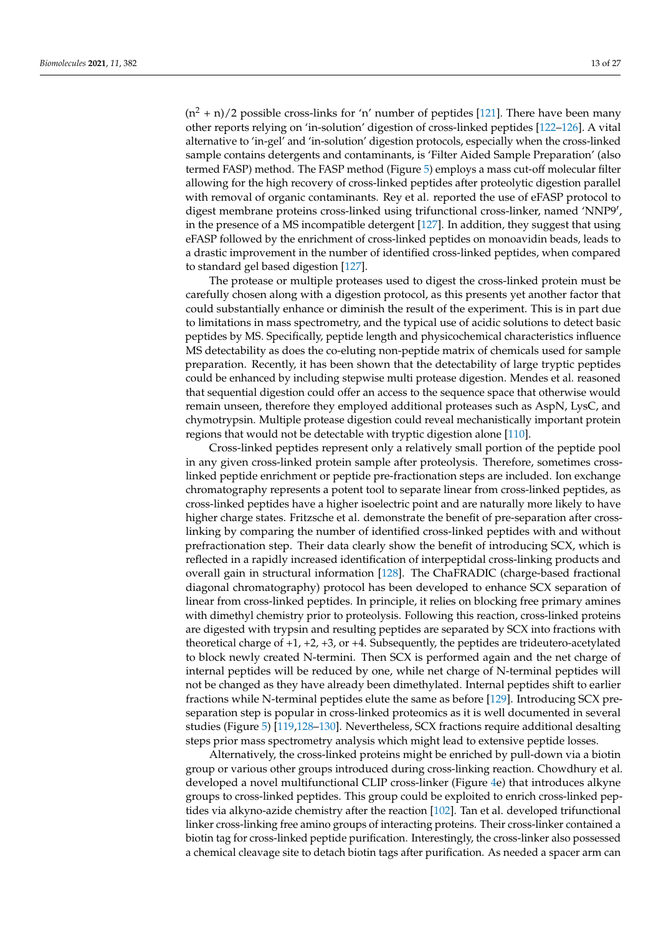$(n^2 + n)/2$  possible cross-links for 'n' number of peptides [121]. There have been many other reports relying on 'in-solution' digestion of cross-linked peptides [122–126]. A vital alternative to 'in-gel' and 'in-solution' digestion protocols, especially when the cross-linked sample contains detergents and contaminants, is 'Filter Aided Sample Preparation' (also termed FASP) method. The FASP method (Figure 5) employs a mass cut-off molecular filter allowing for the high recovery of cross-linked peptides after proteolytic digestion parallel with removal of organic contaminants. Rey et al. reported the use of eFASP protocol to digest membrane proteins cross-linked using trifunctional cross-linker, named 'NNP9′ , in the presence of a MS incompatible detergent [127]. In addition, they suggest that using eFASP followed by the enrichment of cross-linked peptides on monoavidin beads, leads to a drastic improvement in the number of identified cross-linked peptides, when compared to standard gel based digestion [127].

The protease or multiple proteases used to digest the cross-linked protein must be carefully chosen along with a digestion protocol, as this presents yet another factor that could substantially enhance or diminish the result of the experiment. This is in part due to limitations in mass spectrometry, and the typical use of acidic solutions to detect basic peptides by MS. Specifically, peptide length and physicochemical characteristics influence MS detectability as does the co-eluting non-peptide matrix of chemicals used for sample preparation. Recently, it has been shown that the detectability of large tryptic peptides could be enhanced by including stepwise multi protease digestion. Mendes et al. reasoned that sequential digestion could offer an access to the sequence space that otherwise would remain unseen, therefore they employed additional proteases such as AspN, LysC, and chymotrypsin. Multiple protease digestion could reveal mechanistically important protein regions that would not be detectable with tryptic digestion alone [110].

Cross-linked peptides represent only a relatively small portion of the peptide pool in any given cross-linked protein sample after proteolysis. Therefore, sometimes crosslinked peptide enrichment or peptide pre-fractionation steps are included. Ion exchange chromatography represents a potent tool to separate linear from cross-linked peptides, as cross-linked peptides have a higher isoelectric point and are naturally more likely to have higher charge states. Fritzsche et al. demonstrate the benefit of pre-separation after crosslinking by comparing the number of identified cross-linked peptides with and without prefractionation step. Their data clearly show the benefit of introducing SCX, which is reflected in a rapidly increased identification of interpeptidal cross-linking products and overall gain in structural information [128]. The ChaFRADIC (charge-based fractional diagonal chromatography) protocol has been developed to enhance SCX separation of linear from cross-linked peptides. In principle, it relies on blocking free primary amines with dimethyl chemistry prior to proteolysis. Following this reaction, cross-linked proteins are digested with trypsin and resulting peptides are separated by SCX into fractions with theoretical charge of +1, +2, +3, or +4. Subsequently, the peptides are trideutero-acetylated to block newly created N-termini. Then SCX is performed again and the net charge of internal peptides will be reduced by one, while net charge of N-terminal peptides will not be changed as they have already been dimethylated. Internal peptides shift to earlier fractions while N-terminal peptides elute the same as before [129]. Introducing SCX preseparation step is popular in cross-linked proteomics as it is well documented in several studies (Figure 5) [119,128–130]. Nevertheless, SCX fractions require additional desalting steps prior mass spectrometry analysis which might lead to extensive peptide losses.

Alternatively, the cross-linked proteins might be enriched by pull-down via a biotin group or various other groups introduced during cross-linking reaction. Chowdhury et al. developed a novel multifunctional CLIP cross-linker (Figure 4e) that introduces alkyne groups to cross-linked peptides. This group could be exploited to enrich cross-linked peptides via alkyno-azide chemistry after the reaction [102]. Tan et al. developed trifunctional linker cross-linking free amino groups of interacting proteins. Their cross-linker contained a biotin tag for cross-linked peptide purification. Interestingly, the cross-linker also possessed a chemical cleavage site to detach biotin tags after purification. As needed a spacer arm can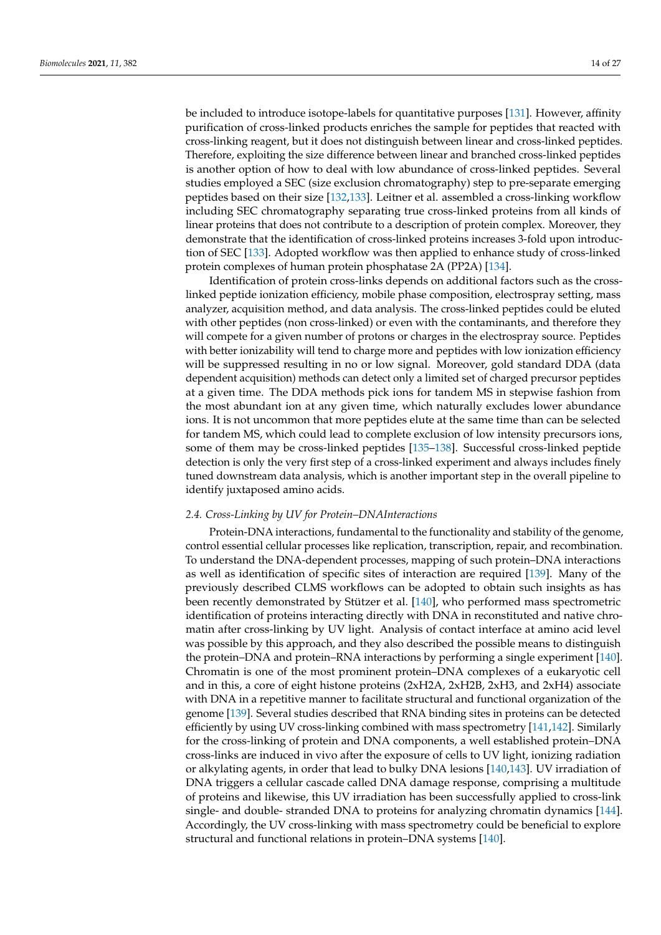be included to introduce isotope-labels for quantitative purposes [131]. However, affinity purification of cross-linked products enriches the sample for peptides that reacted with cross-linking reagent, but it does not distinguish between linear and cross-linked peptides. Therefore, exploiting the size difference between linear and branched cross-linked peptides is another option of how to deal with low abundance of cross-linked peptides. Several studies employed a SEC (size exclusion chromatography) step to pre-separate emerging peptides based on their size [132,133]. Leitner et al. assembled a cross-linking workflow including SEC chromatography separating true cross-linked proteins from all kinds of linear proteins that does not contribute to a description of protein complex. Moreover, they demonstrate that the identification of cross-linked proteins increases 3-fold upon introduction of SEC [133]. Adopted workflow was then applied to enhance study of cross-linked protein complexes of human protein phosphatase 2A (PP2A) [134].

Identification of protein cross-links depends on additional factors such as the crosslinked peptide ionization efficiency, mobile phase composition, electrospray setting, mass analyzer, acquisition method, and data analysis. The cross-linked peptides could be eluted with other peptides (non cross-linked) or even with the contaminants, and therefore they will compete for a given number of protons or charges in the electrospray source. Peptides with better ionizability will tend to charge more and peptides with low ionization efficiency will be suppressed resulting in no or low signal. Moreover, gold standard DDA (data dependent acquisition) methods can detect only a limited set of charged precursor peptides at a given time. The DDA methods pick ions for tandem MS in stepwise fashion from the most abundant ion at any given time, which naturally excludes lower abundance ions. It is not uncommon that more peptides elute at the same time than can be selected for tandem MS, which could lead to complete exclusion of low intensity precursors ions, some of them may be cross-linked peptides [135–138]. Successful cross-linked peptide detection is only the very first step of a cross-linked experiment and always includes finely tuned downstream data analysis, which is another important step in the overall pipeline to identify juxtaposed amino acids.

## *2.4. Cross-Linking by UV for Protein–DNAInteractions*

Protein-DNA interactions, fundamental to the functionality and stability of the genome, control essential cellular processes like replication, transcription, repair, and recombination. To understand the DNA-dependent processes, mapping of such protein–DNA interactions as well as identification of specific sites of interaction are required [139]. Many of the previously described CLMS workflows can be adopted to obtain such insights as has been recently demonstrated by Stützer et al. [140], who performed mass spectrometric identification of proteins interacting directly with DNA in reconstituted and native chromatin after cross-linking by UV light. Analysis of contact interface at amino acid level was possible by this approach, and they also described the possible means to distinguish the protein–DNA and protein–RNA interactions by performing a single experiment [140]. Chromatin is one of the most prominent protein–DNA complexes of a eukaryotic cell and in this, a core of eight histone proteins (2xH2A, 2xH2B, 2xH3, and 2xH4) associate with DNA in a repetitive manner to facilitate structural and functional organization of the genome [139]. Several studies described that RNA binding sites in proteins can be detected efficiently by using UV cross-linking combined with mass spectrometry [141,142]. Similarly for the cross-linking of protein and DNA components, a well established protein–DNA cross-links are induced in vivo after the exposure of cells to UV light, ionizing radiation or alkylating agents, in order that lead to bulky DNA lesions [140,143]. UV irradiation of DNA triggers a cellular cascade called DNA damage response, comprising a multitude of proteins and likewise, this UV irradiation has been successfully applied to cross-link single- and double- stranded DNA to proteins for analyzing chromatin dynamics [144]. Accordingly, the UV cross-linking with mass spectrometry could be beneficial to explore structural and functional relations in protein–DNA systems [140].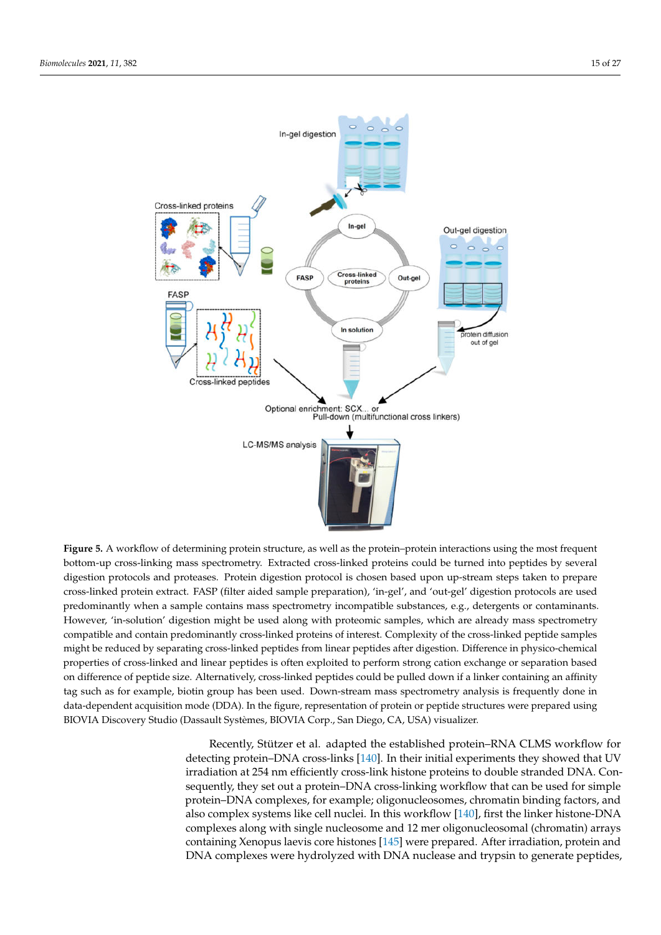

**Figure 5.** A workflow of determining protein structure, as well as the protein–protein interactions using the most frequent bottom-up cross-linking mass spectrometry. Extracted cross-linked proteins could be turned into peptides by several digestion protocols and proteases. Protein digestion protocol is chosen based upon up-stream steps taken to prepare cross-linked protein extract. FASP (filter aided sample preparation), 'in-gel', and 'out-gel' digestion protocols are used predominantly when a sample contains mass spectrometry incompatible substances, e.g., detergents or contaminants. However, 'in-solution' digestion might be used along with proteomic samples, which are already mass spectrometry compatible and contain predominantly cross-linked proteins of interest. Complexity of the cross-linked peptide samples might be reduced by separating cross-linked peptides from linear peptides after digestion. Difference in physico-chemical properties of cross-linked and linear peptides is often exploited to perform strong cation exchange or separation based on difference of peptide size. Alternatively, cross-linked peptides could be pulled down if a linker containing an affinity tag such as for example, biotin group has been used. Down-stream mass spectrometry analysis is frequently done in data-dependent acquisition mode (DDA). In the figure, representation of protein or peptide structures were prepared using BIOVIA Discovery Studio (Dassault Systèmes, BIOVIA Corp., San Diego, CA, USA) visualizer.

Recently, Stützer et al. adapted the established protein–RNA CLMS workflow for detecting protein–DNA cross-links [140]. In their initial experiments they showed that UV irradiation at 254 nm efficiently cross-link histone proteins to double stranded DNA. Consequently, they set out a protein–DNA cross-linking workflow that can be used for simple protein–DNA complexes, for example; oligonucleosomes, chromatin binding factors, and also complex systems like cell nuclei. In this workflow [140], first the linker histone-DNA complexes along with single nucleosome and 12 mer oligonucleosomal (chromatin) arrays containing Xenopus laevis core histones [145] were prepared. After irradiation, protein and DNA complexes were hydrolyzed with DNA nuclease and trypsin to generate peptides,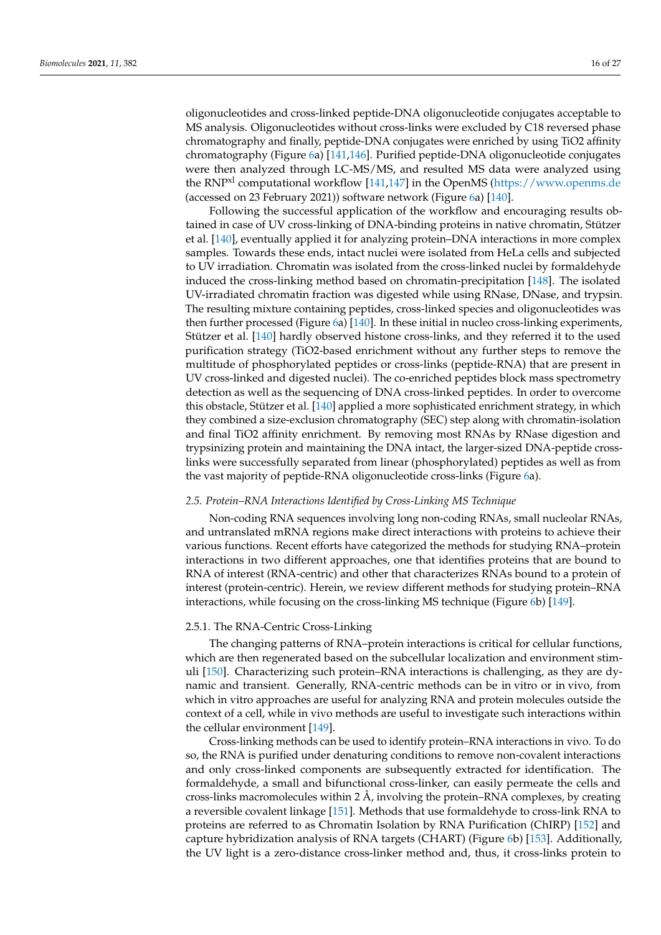oligonucleotides and cross-linked peptide-DNA oligonucleotide conjugates acceptable to MS analysis. Oligonucleotides without cross-links were excluded by C18 reversed phase chromatography and finally, peptide-DNA conjugates were enriched by using TiO2 affinity chromatography (Figure 6a) [141,146]. Purified peptide-DNA oligonucleotide conjugates were then analyzed through LC-MS/MS, and resulted MS data were analyzed using the RNPxl computational workflow [141,147] in the OpenMS (https://www.openms.de (accessed on 23 February 2021)) software network (Figure 6a) [140].

Following the successful application of the workflow and encouraging results obtained in case of UV cross-linking of DNA-binding proteins in native chromatin, Stützer et al. [140], eventually applied it for analyzing protein–DNA interactions in more complex samples. Towards these ends, intact nuclei were isolated from HeLa cells and subjected to UV irradiation. Chromatin was isolated from the cross-linked nuclei by formaldehyde induced the cross-linking method based on chromatin-precipitation [148]. The isolated UV-irradiated chromatin fraction was digested while using RNase, DNase, and trypsin. The resulting mixture containing peptides, cross-linked species and oligonucleotides was then further processed (Figure 6a) [140]. In these initial in nucleo cross-linking experiments, Stützer et al. [140] hardly observed histone cross-links, and they referred it to the used purification strategy (TiO2-based enrichment without any further steps to remove the multitude of phosphorylated peptides or cross-links (peptide-RNA) that are present in UV cross-linked and digested nuclei). The co-enriched peptides block mass spectrometry detection as well as the sequencing of DNA cross-linked peptides. In order to overcome this obstacle, Stützer et al. [140] applied a more sophisticated enrichment strategy, in which they combined a size-exclusion chromatography (SEC) step along with chromatin-isolation and final TiO2 affinity enrichment. By removing most RNAs by RNase digestion and trypsinizing protein and maintaining the DNA intact, the larger-sized DNA-peptide crosslinks were successfully separated from linear (phosphorylated) peptides as well as from the vast majority of peptide-RNA oligonucleotide cross-links (Figure 6a).

#### *2.5. Protein–RNA Interactions Identified by Cross-Linking MS Technique*

Non-coding RNA sequences involving long non-coding RNAs, small nucleolar RNAs, and untranslated mRNA regions make direct interactions with proteins to achieve their various functions. Recent efforts have categorized the methods for studying RNA–protein interactions in two different approaches, one that identifies proteins that are bound to RNA of interest (RNA-centric) and other that characterizes RNAs bound to a protein of interest (protein-centric). Herein, we review different methods for studying protein–RNA interactions, while focusing on the cross-linking MS technique (Figure 6b) [149].

# 2.5.1. The RNA-Centric Cross-Linking

The changing patterns of RNA–protein interactions is critical for cellular functions, which are then regenerated based on the subcellular localization and environment stimuli [150]. Characterizing such protein–RNA interactions is challenging, as they are dynamic and transient. Generally, RNA-centric methods can be in vitro or in vivo, from which in vitro approaches are useful for analyzing RNA and protein molecules outside the context of a cell, while in vivo methods are useful to investigate such interactions within the cellular environment [149].

Cross-linking methods can be used to identify protein–RNA interactions in vivo. To do so, the RNA is purified under denaturing conditions to remove non-covalent interactions and only cross-linked components are subsequently extracted for identification. The formaldehyde, a small and bifunctional cross-linker, can easily permeate the cells and cross-links macromolecules within 2 Å, involving the protein–RNA complexes, by creating a reversible covalent linkage [151]. Methods that use formaldehyde to cross-link RNA to proteins are referred to as Chromatin Isolation by RNA Purification (ChIRP) [152] and capture hybridization analysis of RNA targets (CHART) (Figure 6b) [153]. Additionally, the UV light is a zero-distance cross-linker method and, thus, it cross-links protein to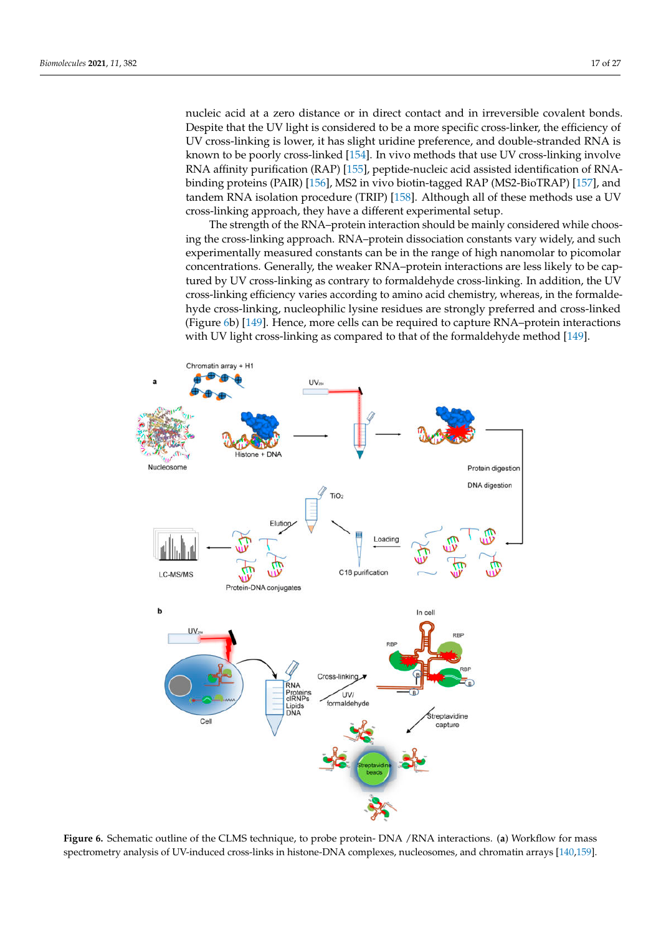nucleic acid at a zero distance or in direct contact and in irreversible covalent bonds. Despite that the UV light is considered to be a more specific cross-linker, the efficiency of UV cross-linking is lower, it has slight uridine preference, and double-stranded RNA is known to be poorly cross-linked [154]. In vivo methods that use UV cross-linking involve RNA affinity purification (RAP) [155], peptide-nucleic acid assisted identification of RNAbinding proteins (PAIR) [156], MS2 in vivo biotin-tagged RAP (MS2-BioTRAP) [157], and tandem RNA isolation procedure (TRIP) [158]. Although all of these methods use a UV cross-linking approach, they have a different experimental setup.

The strength of the RNA–protein interaction should be mainly considered while choosing the cross-linking approach. RNA–protein dissociation constants vary widely, and such experimentally measured constants can be in the range of high nanomolar to picomolar concentrations. Generally, the weaker RNA–protein interactions are less likely to be captured by UV cross-linking as contrary to formaldehyde cross-linking. In addition, the UV cross-linking efficiency varies according to amino acid chemistry, whereas, in the formaldehyde cross-linking, nucleophilic lysine residues are strongly preferred and cross-linked (Figure 6b) [149]. Hence, more cells can be required to capture RNA–protein interactions with UV light cross-linking as compared to that of the formaldehyde method [149].



**Figure 6.** Schematic outline of the CLMS technique, to probe protein- DNA /RNA interactions. (**a**) Workflow for mass spectrometry analysis of UV-induced cross-links in histone-DNA complexes, nucleosomes, and chromatin arrays [140,159].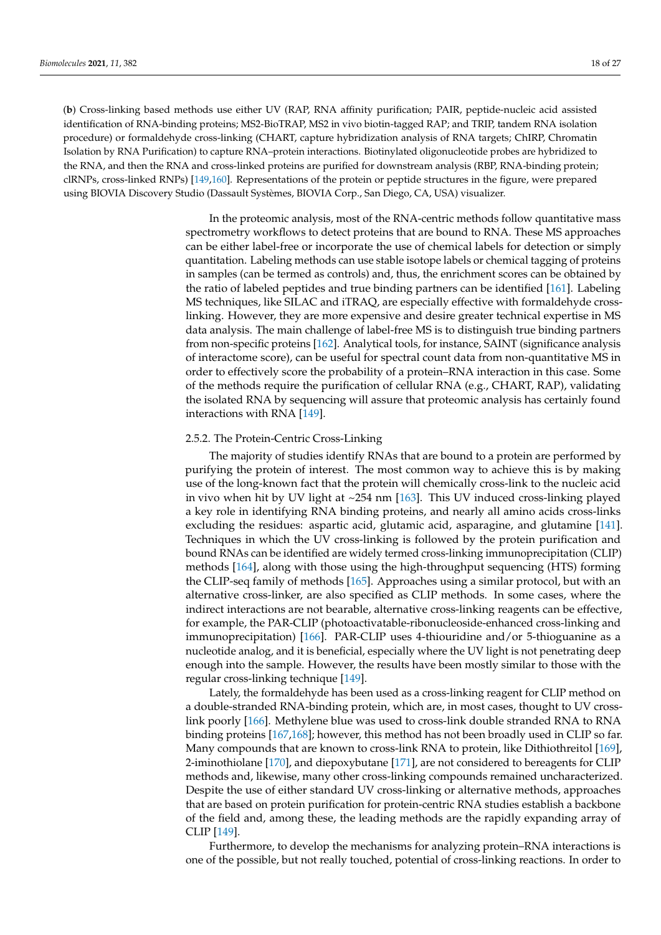(**b**) Cross-linking based methods use either UV (RAP, RNA affinity purification; PAIR, peptide-nucleic acid assisted identification of RNA-binding proteins; MS2-BioTRAP, MS2 in vivo biotin-tagged RAP; and TRIP, tandem RNA isolation procedure) or formaldehyde cross-linking (CHART, capture hybridization analysis of RNA targets; ChIRP, Chromatin Isolation by RNA Purification) to capture RNA–protein interactions. Biotinylated oligonucleotide probes are hybridized to the RNA, and then the RNA and cross-linked proteins are purified for downstream analysis (RBP, RNA-binding protein; clRNPs, cross-linked RNPs) [149,160]. Representations of the protein or peptide structures in the figure, were prepared using BIOVIA Discovery Studio (Dassault Systèmes, BIOVIA Corp., San Diego, CA, USA) visualizer.

> In the proteomic analysis, most of the RNA-centric methods follow quantitative mass spectrometry workflows to detect proteins that are bound to RNA. These MS approaches can be either label-free or incorporate the use of chemical labels for detection or simply quantitation. Labeling methods can use stable isotope labels or chemical tagging of proteins in samples (can be termed as controls) and, thus, the enrichment scores can be obtained by the ratio of labeled peptides and true binding partners can be identified [161]. Labeling MS techniques, like SILAC and iTRAQ, are especially effective with formaldehyde crosslinking. However, they are more expensive and desire greater technical expertise in MS data analysis. The main challenge of label-free MS is to distinguish true binding partners from non-specific proteins [162]. Analytical tools, for instance, SAINT (significance analysis of interactome score), can be useful for spectral count data from non-quantitative MS in order to effectively score the probability of a protein–RNA interaction in this case. Some of the methods require the purification of cellular RNA (e.g., CHART, RAP), validating the isolated RNA by sequencing will assure that proteomic analysis has certainly found interactions with RNA [149].

#### 2.5.2. The Protein-Centric Cross-Linking

The majority of studies identify RNAs that are bound to a protein are performed by purifying the protein of interest. The most common way to achieve this is by making use of the long-known fact that the protein will chemically cross-link to the nucleic acid in vivo when hit by UV light at ~254 nm [163]. This UV induced cross-linking played a key role in identifying RNA binding proteins, and nearly all amino acids cross-links excluding the residues: aspartic acid, glutamic acid, asparagine, and glutamine [141]. Techniques in which the UV cross-linking is followed by the protein purification and bound RNAs can be identified are widely termed cross-linking immunoprecipitation (CLIP) methods [164], along with those using the high-throughput sequencing (HTS) forming the CLIP-seq family of methods [165]. Approaches using a similar protocol, but with an alternative cross-linker, are also specified as CLIP methods. In some cases, where the indirect interactions are not bearable, alternative cross-linking reagents can be effective, for example, the PAR-CLIP (photoactivatable-ribonucleoside-enhanced cross-linking and immunoprecipitation) [166]. PAR-CLIP uses 4-thiouridine and/or 5-thioguanine as a nucleotide analog, and it is beneficial, especially where the UV light is not penetrating deep enough into the sample. However, the results have been mostly similar to those with the regular cross-linking technique [149].

Lately, the formaldehyde has been used as a cross-linking reagent for CLIP method on a double-stranded RNA-binding protein, which are, in most cases, thought to UV crosslink poorly [166]. Methylene blue was used to cross-link double stranded RNA to RNA binding proteins [167,168]; however, this method has not been broadly used in CLIP so far. Many compounds that are known to cross-link RNA to protein, like Dithiothreitol [169], 2-iminothiolane [170], and diepoxybutane [171], are not considered to bereagents for CLIP methods and, likewise, many other cross-linking compounds remained uncharacterized. Despite the use of either standard UV cross-linking or alternative methods, approaches that are based on protein purification for protein-centric RNA studies establish a backbone of the field and, among these, the leading methods are the rapidly expanding array of CLIP [149].

Furthermore, to develop the mechanisms for analyzing protein–RNA interactions is one of the possible, but not really touched, potential of cross-linking reactions. In order to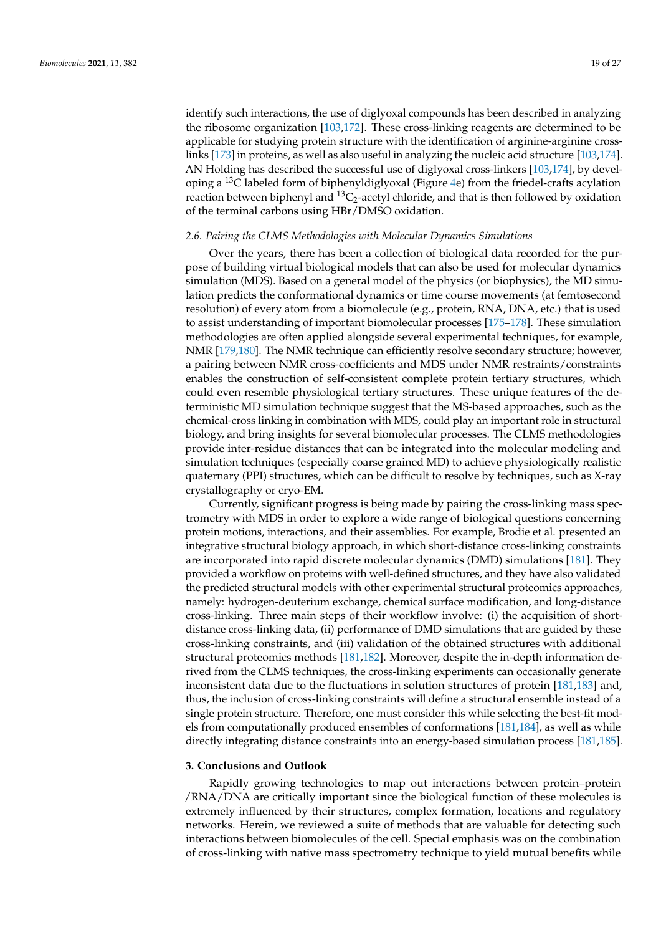identify such interactions, the use of diglyoxal compounds has been described in analyzing the ribosome organization [103,172]. These cross-linking reagents are determined to be applicable for studying protein structure with the identification of arginine-arginine crosslinks [173] in proteins, as well as also useful in analyzing the nucleic acid structure [103,174]. AN Holding has described the successful use of diglyoxal cross-linkers [103,174], by developing a  $^{13}$ C labeled form of biphenyldiglyoxal (Figure 4e) from the friedel-crafts acylation reaction between biphenyl and  ${}^{13}C_2$ -acetyl chloride, and that is then followed by oxidation of the terminal carbons using HBr/DMSO oxidation.

# *2.6. Pairing the CLMS Methodologies with Molecular Dynamics Simulations*

Over the years, there has been a collection of biological data recorded for the purpose of building virtual biological models that can also be used for molecular dynamics simulation (MDS). Based on a general model of the physics (or biophysics), the MD simulation predicts the conformational dynamics or time course movements (at femtosecond resolution) of every atom from a biomolecule (e.g., protein, RNA, DNA, etc.) that is used to assist understanding of important biomolecular processes [175–178]. These simulation methodologies are often applied alongside several experimental techniques, for example, NMR [179,180]. The NMR technique can efficiently resolve secondary structure; however, a pairing between NMR cross-coefficients and MDS under NMR restraints/constraints enables the construction of self-consistent complete protein tertiary structures, which could even resemble physiological tertiary structures. These unique features of the deterministic MD simulation technique suggest that the MS-based approaches, such as the chemical-cross linking in combination with MDS, could play an important role in structural biology, and bring insights for several biomolecular processes. The CLMS methodologies provide inter-residue distances that can be integrated into the molecular modeling and simulation techniques (especially coarse grained MD) to achieve physiologically realistic quaternary (PPI) structures, which can be difficult to resolve by techniques, such as X-ray crystallography or cryo-EM.

Currently, significant progress is being made by pairing the cross-linking mass spectrometry with MDS in order to explore a wide range of biological questions concerning protein motions, interactions, and their assemblies. For example, Brodie et al. presented an integrative structural biology approach, in which short-distance cross-linking constraints are incorporated into rapid discrete molecular dynamics (DMD) simulations [181]. They provided a workflow on proteins with well-defined structures, and they have also validated the predicted structural models with other experimental structural proteomics approaches, namely: hydrogen-deuterium exchange, chemical surface modification, and long-distance cross-linking. Three main steps of their workflow involve: (i) the acquisition of shortdistance cross-linking data, (ii) performance of DMD simulations that are guided by these cross-linking constraints, and (iii) validation of the obtained structures with additional structural proteomics methods [181,182]. Moreover, despite the in-depth information derived from the CLMS techniques, the cross-linking experiments can occasionally generate inconsistent data due to the fluctuations in solution structures of protein [181,183] and, thus, the inclusion of cross-linking constraints will define a structural ensemble instead of a single protein structure. Therefore, one must consider this while selecting the best-fit models from computationally produced ensembles of conformations [181,184], as well as while directly integrating distance constraints into an energy-based simulation process [181,185].

#### **3. Conclusions and Outlook**

Rapidly growing technologies to map out interactions between protein–protein /RNA/DNA are critically important since the biological function of these molecules is extremely influenced by their structures, complex formation, locations and regulatory networks. Herein, we reviewed a suite of methods that are valuable for detecting such interactions between biomolecules of the cell. Special emphasis was on the combination of cross-linking with native mass spectrometry technique to yield mutual benefits while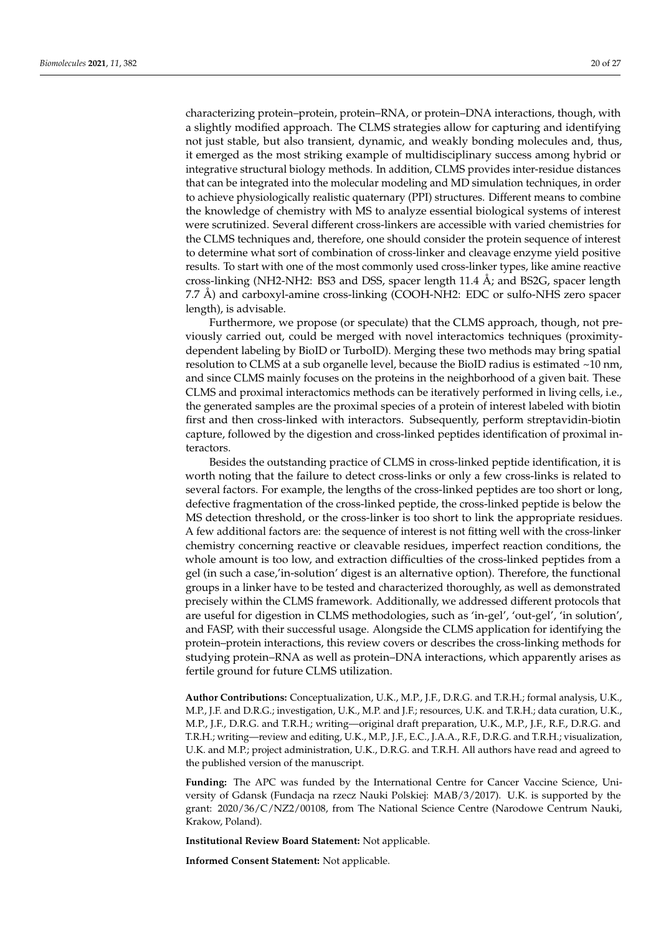characterizing protein–protein, protein–RNA, or protein–DNA interactions, though, with a slightly modified approach. The CLMS strategies allow for capturing and identifying not just stable, but also transient, dynamic, and weakly bonding molecules and, thus, it emerged as the most striking example of multidisciplinary success among hybrid or integrative structural biology methods. In addition, CLMS provides inter-residue distances that can be integrated into the molecular modeling and MD simulation techniques, in order to achieve physiologically realistic quaternary (PPI) structures. Different means to combine the knowledge of chemistry with MS to analyze essential biological systems of interest were scrutinized. Several different cross-linkers are accessible with varied chemistries for the CLMS techniques and, therefore, one should consider the protein sequence of interest to determine what sort of combination of cross-linker and cleavage enzyme yield positive results. To start with one of the most commonly used cross-linker types, like amine reactive cross-linking (NH2-NH2: BS3 and DSS, spacer length 11.4 Å; and BS2G, spacer length 7.7 Å) and carboxyl-amine cross-linking (COOH-NH2: EDC or sulfo-NHS zero spacer length), is advisable.

Furthermore, we propose (or speculate) that the CLMS approach, though, not previously carried out, could be merged with novel interactomics techniques (proximitydependent labeling by BioID or TurboID). Merging these two methods may bring spatial resolution to CLMS at a sub organelle level, because the BioID radius is estimated ~10 nm, and since CLMS mainly focuses on the proteins in the neighborhood of a given bait. These CLMS and proximal interactomics methods can be iteratively performed in living cells, i.e., the generated samples are the proximal species of a protein of interest labeled with biotin first and then cross-linked with interactors. Subsequently, perform streptavidin-biotin capture, followed by the digestion and cross-linked peptides identification of proximal interactors.

Besides the outstanding practice of CLMS in cross-linked peptide identification, it is worth noting that the failure to detect cross-links or only a few cross-links is related to several factors. For example, the lengths of the cross-linked peptides are too short or long, defective fragmentation of the cross-linked peptide, the cross-linked peptide is below the MS detection threshold, or the cross-linker is too short to link the appropriate residues. A few additional factors are: the sequence of interest is not fitting well with the cross-linker chemistry concerning reactive or cleavable residues, imperfect reaction conditions, the whole amount is too low, and extraction difficulties of the cross-linked peptides from a gel (in such a case,'in-solution' digest is an alternative option). Therefore, the functional groups in a linker have to be tested and characterized thoroughly, as well as demonstrated precisely within the CLMS framework. Additionally, we addressed different protocols that are useful for digestion in CLMS methodologies, such as 'in-gel', 'out-gel', 'in solution', and FASP, with their successful usage. Alongside the CLMS application for identifying the protein–protein interactions, this review covers or describes the cross-linking methods for studying protein–RNA as well as protein–DNA interactions, which apparently arises as fertile ground for future CLMS utilization.

**Author Contributions:** Conceptualization, U.K., M.P., J.F., D.R.G. and T.R.H.; formal analysis, U.K., M.P., J.F. and D.R.G.; investigation, U.K., M.P. and J.F.; resources, U.K. and T.R.H.; data curation, U.K., M.P., J.F., D.R.G. and T.R.H.; writing—original draft preparation, U.K., M.P., J.F., R.F., D.R.G. and T.R.H.; writing—review and editing, U.K., M.P., J.F., E.C., J.A.A., R.F., D.R.G. and T.R.H.; visualization, U.K. and M.P.; project administration, U.K., D.R.G. and T.R.H. All authors have read and agreed to the published version of the manuscript.

**Funding:** The APC was funded by the International Centre for Cancer Vaccine Science, University of Gdansk (Fundacja na rzecz Nauki Polskiej: MAB/3/2017). U.K. is supported by the grant: 2020/36/C/NZ2/00108, from The National Science Centre (Narodowe Centrum Nauki, Krakow, Poland).

**Institutional Review Board Statement:** Not applicable.

**Informed Consent Statement:** Not applicable.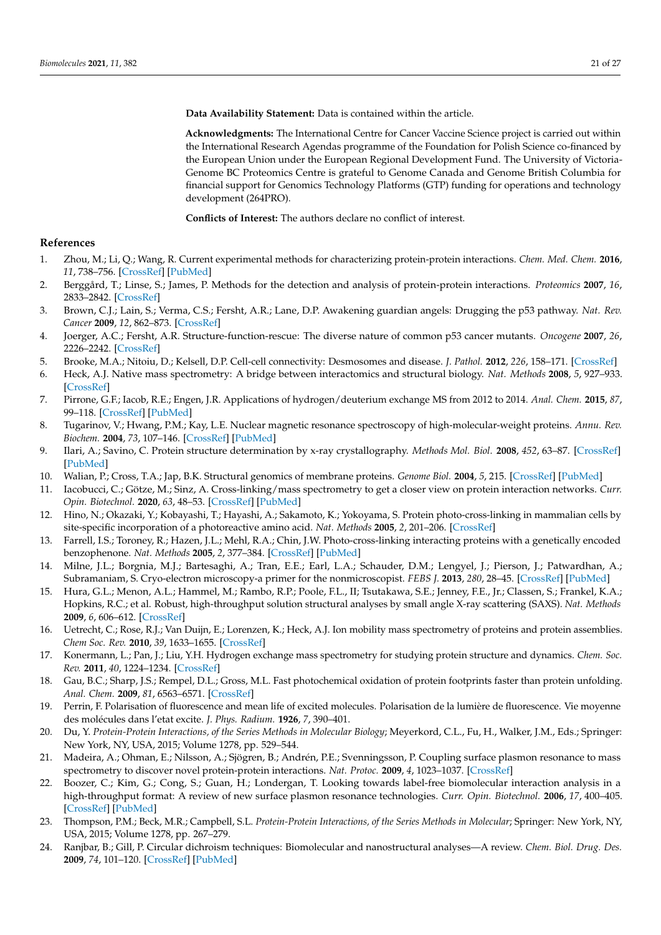**Data Availability Statement:** Data is contained within the article.

**Acknowledgments:** The International Centre for Cancer Vaccine Science project is carried out within the International Research Agendas programme of the Foundation for Polish Science co-financed by the European Union under the European Regional Development Fund. The University of Victoria-Genome BC Proteomics Centre is grateful to Genome Canada and Genome British Columbia for financial support for Genomics Technology Platforms (GTP) funding for operations and technology development (264PRO).

**Conflicts of Interest:** The authors declare no conflict of interest.

# **References**

- 1. Zhou, M.; Li, Q.; Wang, R. Current experimental methods for characterizing protein-protein interactions. *Chem. Med. Chem.* **2016**, *11*, 738–756. [CrossRef] [PubMed]
- 2. Berggård, T.; Linse, S.; James, P. Methods for the detection and analysis of protein-protein interactions. *Proteomics* **2007**, *16*, 2833–2842. [CrossRef]
- 3. Brown, C.J.; Lain, S.; Verma, C.S.; Fersht, A.R.; Lane, D.P. Awakening guardian angels: Drugging the p53 pathway. *Nat. Rev. Cancer* **2009**, *12*, 862–873. [CrossRef]
- 4. Joerger, A.C.; Fersht, A.R. Structure-function-rescue: The diverse nature of common p53 cancer mutants. *Oncogene* **2007**, *26*, 2226–2242. [CrossRef]
- 5. Brooke, M.A.; Nitoiu, D.; Kelsell, D.P. Cell-cell connectivity: Desmosomes and disease. *J. Pathol.* **2012**, *226*, 158–171. [CrossRef]
- 6. Heck, A.J. Native mass spectrometry: A bridge between interactomics and structural biology. *Nat. Methods* **2008**, *5*, 927–933. [CrossRef]
- 7. Pirrone, G.F.; Iacob, R.E.; Engen, J.R. Applications of hydrogen/deuterium exchange MS from 2012 to 2014. *Anal. Chem.* **2015**, *87*, 99–118. [CrossRef] [PubMed]
- 8. Tugarinov, V.; Hwang, P.M.; Kay, L.E. Nuclear magnetic resonance spectroscopy of high-molecular-weight proteins. *Annu. Rev. Biochem.* **2004**, *73*, 107–146. [CrossRef] [PubMed]
- 9. Ilari, A.; Savino, C. Protein structure determination by x-ray crystallography. *Methods Mol. Biol.* **2008**, *452*, 63–87. [CrossRef] [PubMed]
- 10. Walian, P.; Cross, T.A.; Jap, B.K. Structural genomics of membrane proteins. *Genome Biol.* **2004**, *5*, 215. [CrossRef] [PubMed]
- 11. Iacobucci, C.; Götze, M.; Sinz, A. Cross-linking/mass spectrometry to get a closer view on protein interaction networks. *Curr. Opin. Biotechnol.* **2020**, *63*, 48–53. [CrossRef] [PubMed]
- 12. Hino, N.; Okazaki, Y.; Kobayashi, T.; Hayashi, A.; Sakamoto, K.; Yokoyama, S. Protein photo-cross-linking in mammalian cells by site-specific incorporation of a photoreactive amino acid. *Nat. Methods* **2005**, *2*, 201–206. [CrossRef]
- 13. Farrell, I.S.; Toroney, R.; Hazen, J.L.; Mehl, R.A.; Chin, J.W. Photo-cross-linking interacting proteins with a genetically encoded benzophenone. *Nat. Methods* **2005**, *2*, 377–384. [CrossRef] [PubMed]
- 14. Milne, J.L.; Borgnia, M.J.; Bartesaghi, A.; Tran, E.E.; Earl, L.A.; Schauder, D.M.; Lengyel, J.; Pierson, J.; Patwardhan, A.; Subramaniam, S. Cryo-electron microscopy-a primer for the nonmicroscopist. *FEBS J.* **2013**, *280*, 28–45. [CrossRef] [PubMed]
- 15. Hura, G.L.; Menon, A.L.; Hammel, M.; Rambo, R.P.; Poole, F.L., II; Tsutakawa, S.E.; Jenney, F.E., Jr.; Classen, S.; Frankel, K.A.; Hopkins, R.C.; et al. Robust, high-throughput solution structural analyses by small angle X-ray scattering (SAXS). *Nat. Methods* **2009**, *6*, 606–612. [CrossRef]
- 16. Uetrecht, C.; Rose, R.J.; Van Duijn, E.; Lorenzen, K.; Heck, A.J. Ion mobility mass spectrometry of proteins and protein assemblies. *Chem Soc. Rev.* **2010**, *39*, 1633–1655. [CrossRef]
- 17. Konermann, L.; Pan, J.; Liu, Y.H. Hydrogen exchange mass spectrometry for studying protein structure and dynamics. *Chem. Soc. Rev.* **2011**, *40*, 1224–1234. [CrossRef]
- 18. Gau, B.C.; Sharp, J.S.; Rempel, D.L.; Gross, M.L. Fast photochemical oxidation of protein footprints faster than protein unfolding. *Anal. Chem.* **2009**, *81*, 6563–6571. [CrossRef]
- 19. Perrin, F. Polarisation of fluorescence and mean life of excited molecules. Polarisation de la lumière de fluorescence. Vie moyenne des molécules dans l'etat excite. *J. Phys. Radium.* **1926**, *7*, 390–401.
- 20. Du, Y. *Protein-Protein Interactions, of the Series Methods in Molecular Biology*; Meyerkord, C.L., Fu, H., Walker, J.M., Eds.; Springer: New York, NY, USA, 2015; Volume 1278, pp. 529–544.
- 21. Madeira, A.; Ohman, E.; Nilsson, A.; Sjögren, B.; Andrén, P.E.; Svenningsson, P. Coupling surface plasmon resonance to mass spectrometry to discover novel protein-protein interactions. *Nat. Protoc.* **2009**, *4*, 1023–1037. [CrossRef]
- 22. Boozer, C.; Kim, G.; Cong, S.; Guan, H.; Londergan, T. Looking towards label-free biomolecular interaction analysis in a high-throughput format: A review of new surface plasmon resonance technologies. *Curr. Opin. Biotechnol.* **2006**, *17*, 400–405. [CrossRef] [PubMed]
- 23. Thompson, P.M.; Beck, M.R.; Campbell, S.L. *Protein-Protein Interactions, of the Series Methods in Molecular*; Springer: New York, NY, USA, 2015; Volume 1278, pp. 267–279.
- 24. Ranjbar, B.; Gill, P. Circular dichroism techniques: Biomolecular and nanostructural analyses—A review. *Chem. Biol. Drug. Des.* **2009**, *74*, 101–120. [CrossRef] [PubMed]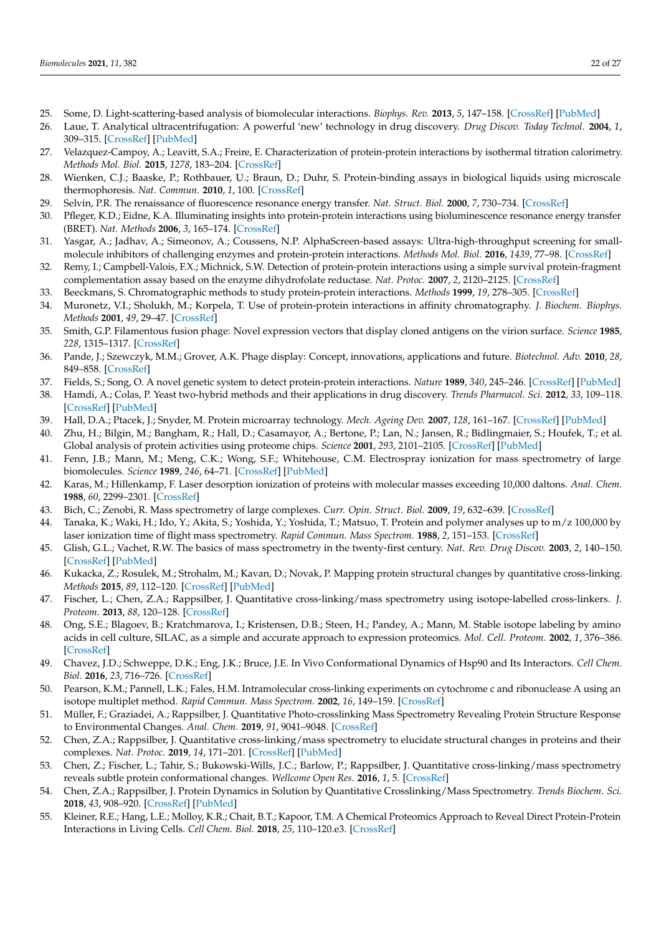- 25. Some, D. Light-scattering-based analysis of biomolecular interactions. *Biophys. Rev.* **2013**, *5*, 147–158. [CrossRef] [PubMed]
- 26. Laue, T. Analytical ultracentrifugation: A powerful 'new' technology in drug discovery. *Drug Discov. Today Technol.* **2004**, *1*, 309–315. [CrossRef] [PubMed]
- 27. Velazquez-Campoy, A.; Leavitt, S.A.; Freire, E. Characterization of protein-protein interactions by isothermal titration calorimetry. *Methods Mol. Biol.* **2015**, *1278*, 183–204. [CrossRef]
- 28. Wienken, C.J.; Baaske, P.; Rothbauer, U.; Braun, D.; Duhr, S. Protein-binding assays in biological liquids using microscale thermophoresis. *Nat. Commun.* **2010**, *1*, 100. [CrossRef]
- 29. Selvin, P.R. The renaissance of fluorescence resonance energy transfer. *Nat. Struct. Biol.* **2000**, *7*, 730–734. [CrossRef]
- 30. Pfleger, K.D.; Eidne, K.A. Illuminating insights into protein-protein interactions using bioluminescence resonance energy transfer (BRET). *Nat. Methods* **2006**, *3*, 165–174. [CrossRef]
- 31. Yasgar, A.; Jadhav, A.; Simeonov, A.; Coussens, N.P. AlphaScreen-based assays: Ultra-high-throughput screening for smallmolecule inhibitors of challenging enzymes and protein-protein interactions. *Methods Mol. Biol.* **2016**, *1439*, 77–98. [CrossRef]
- 32. Remy, I.; Campbell-Valois, F.X.; Michnick, S.W. Detection of protein-protein interactions using a simple survival protein-fragment complementation assay based on the enzyme dihydrofolate reductase. *Nat. Protoc.* **2007**, *2*, 2120–2125. [CrossRef]
- 33. Beeckmans, S. Chromatographic methods to study protein-protein interactions. *Methods* **1999**, *19*, 278–305. [CrossRef]
- 34. Muronetz, V.I.; Sholukh, M.; Korpela, T. Use of protein-protein interactions in affinity chromatography. *J. Biochem. Biophys. Methods* **2001**, *49*, 29–47. [CrossRef]
- 35. Smith, G.P. Filamentous fusion phage: Novel expression vectors that display cloned antigens on the virion surface. *Science* **1985**, *228*, 1315–1317. [CrossRef]
- 36. Pande, J.; Szewczyk, M.M.; Grover, A.K. Phage display: Concept, innovations, applications and future. *Biotechnol. Adv.* **2010**, *28*, 849–858. [CrossRef]
- 37. Fields, S.; Song, O. A novel genetic system to detect protein-protein interactions. *Nature* **1989**, *340*, 245–246. [CrossRef] [PubMed]
- 38. Hamdi, A.; Colas, P. Yeast two-hybrid methods and their applications in drug discovery. *Trends Pharmacol. Sci.* **2012**, *33*, 109–118. [CrossRef] [PubMed]
- 39. Hall, D.A.; Ptacek, J.; Snyder, M. Protein microarray technology. *Mech. Ageing Dev.* **2007**, *128*, 161–167. [CrossRef] [PubMed]
- 40. Zhu, H.; Bilgin, M.; Bangham, R.; Hall, D.; Casamayor, A.; Bertone, P.; Lan, N.; Jansen, R.; Bidlingmaier, S.; Houfek, T.; et al. Global analysis of protein activities using proteome chips. *Science* **2001**, *293*, 2101–2105. [CrossRef] [PubMed]
- 41. Fenn, J.B.; Mann, M.; Meng, C.K.; Wong, S.F.; Whitehouse, C.M. Electrospray ionization for mass spectrometry of large biomolecules. *Science* **1989**, *246*, 64–71. [CrossRef] [PubMed]
- 42. Karas, M.; Hillenkamp, F. Laser desorption ionization of proteins with molecular masses exceeding 10,000 daltons. *Anal. Chem.* **1988**, *60*, 2299–2301. [CrossRef]
- 43. Bich, C.; Zenobi, R. Mass spectrometry of large complexes. *Curr. Opin. Struct. Biol.* **2009**, *19*, 632–639. [CrossRef]
- 44. Tanaka, K.; Waki, H.; Ido, Y.; Akita, S.; Yoshida, Y.; Yoshida, T.; Matsuo, T. Protein and polymer analyses up to m/z 100,000 by laser ionization time of flight mass spectrometry. *Rapid Commun. Mass Spectrom.* **1988**, *2*, 151–153. [CrossRef]
- 45. Glish, G.L.; Vachet, R.W. The basics of mass spectrometry in the twenty-first century. *Nat. Rev. Drug Discov.* **2003**, *2*, 140–150. [CrossRef] [PubMed]
- 46. Kukacka, Z.; Rosulek, M.; Strohalm, M.; Kavan, D.; Novak, P. Mapping protein structural changes by quantitative cross-linking. *Methods* **2015**, *89*, 112–120. [CrossRef] [PubMed]
- 47. Fischer, L.; Chen, Z.A.; Rappsilber, J. Quantitative cross-linking/mass spectrometry using isotope-labelled cross-linkers. *J. Proteom.* **2013**, *88*, 120–128. [CrossRef]
- 48. Ong, S.E.; Blagoev, B.; Kratchmarova, I.; Kristensen, D.B.; Steen, H.; Pandey, A.; Mann, M. Stable isotope labeling by amino acids in cell culture, SILAC, as a simple and accurate approach to expression proteomics. *Mol. Cell. Proteom.* **2002**, *1*, 376–386. [CrossRef]
- 49. Chavez, J.D.; Schweppe, D.K.; Eng, J.K.; Bruce, J.E. In Vivo Conformational Dynamics of Hsp90 and Its Interactors. *Cell Chem. Biol.* **2016**, *23*, 716–726. [CrossRef]
- 50. Pearson, K.M.; Pannell, L.K.; Fales, H.M. Intramolecular cross-linking experiments on cytochrome c and ribonuclease A using an isotope multiplet method. *Rapid Commun. Mass Spectrom.* **2002**, *16*, 149–159. [CrossRef]
- 51. Müller, F.; Graziadei, A.; Rappsilber, J. Quantitative Photo-crosslinking Mass Spectrometry Revealing Protein Structure Response to Environmental Changes. *Anal. Chem.* **2019**, *91*, 9041–9048. [CrossRef]
- 52. Chen, Z.A.; Rappsilber, J. Quantitative cross-linking/mass spectrometry to elucidate structural changes in proteins and their complexes. *Nat. Protoc.* **2019**, *14*, 171–201. [CrossRef] [PubMed]
- 53. Chen, Z.; Fischer, L.; Tahir, S.; Bukowski-Wills, J.C.; Barlow, P.; Rappsilber, J. Quantitative cross-linking/mass spectrometry reveals subtle protein conformational changes. *Wellcome Open Res.* **2016**, *1*, 5. [CrossRef]
- 54. Chen, Z.A.; Rappsilber, J. Protein Dynamics in Solution by Quantitative Crosslinking/Mass Spectrometry. *Trends Biochem. Sci.* **2018**, *43*, 908–920. [CrossRef] [PubMed]
- 55. Kleiner, R.E.; Hang, L.E.; Molloy, K.R.; Chait, B.T.; Kapoor, T.M. A Chemical Proteomics Approach to Reveal Direct Protein-Protein Interactions in Living Cells. *Cell Chem. Biol.* **2018**, *25*, 110–120.e3. [CrossRef]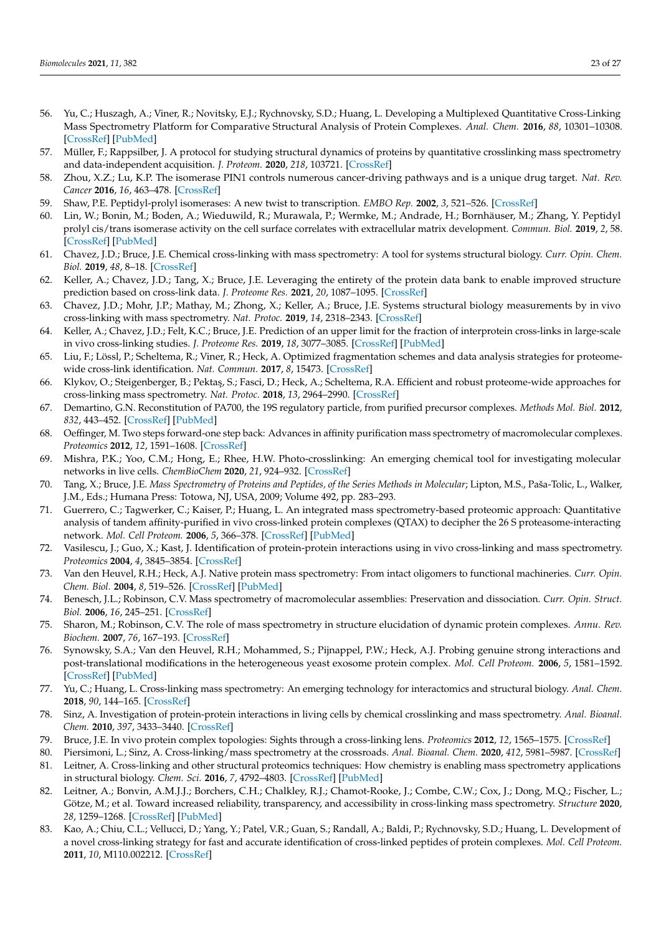- 56. Yu, C.; Huszagh, A.; Viner, R.; Novitsky, E.J.; Rychnovsky, S.D.; Huang, L. Developing a Multiplexed Quantitative Cross-Linking Mass Spectrometry Platform for Comparative Structural Analysis of Protein Complexes. *Anal. Chem.* **2016**, *88*, 10301–10308. [CrossRef] [PubMed]
- 57. Müller, F.; Rappsilber, J. A protocol for studying structural dynamics of proteins by quantitative crosslinking mass spectrometry and data-independent acquisition. *J. Proteom.* **2020**, *218*, 103721. [CrossRef]
- 58. Zhou, X.Z.; Lu, K.P. The isomerase PIN1 controls numerous cancer-driving pathways and is a unique drug target. *Nat. Rev. Cancer* **2016**, *16*, 463–478. [CrossRef]
- 59. Shaw, P.E. Peptidyl-prolyl isomerases: A new twist to transcription. *EMBO Rep.* **2002**, *3*, 521–526. [CrossRef]
- 60. Lin, W.; Bonin, M.; Boden, A.; Wieduwild, R.; Murawala, P.; Wermke, M.; Andrade, H.; Bornhäuser, M.; Zhang, Y. Peptidyl prolyl cis/trans isomerase activity on the cell surface correlates with extracellular matrix development. *Commun. Biol.* **2019**, *2*, 58. [CrossRef] [PubMed]
- 61. Chavez, J.D.; Bruce, J.E. Chemical cross-linking with mass spectrometry: A tool for systems structural biology. *Curr. Opin. Chem. Biol.* **2019**, *48*, 8–18. [CrossRef]
- 62. Keller, A.; Chavez, J.D.; Tang, X.; Bruce, J.E. Leveraging the entirety of the protein data bank to enable improved structure prediction based on cross-link data. *J. Proteome Res.* **2021**, *20*, 1087–1095. [CrossRef]
- 63. Chavez, J.D.; Mohr, J.P.; Mathay, M.; Zhong, X.; Keller, A.; Bruce, J.E. Systems structural biology measurements by in vivo cross-linking with mass spectrometry. *Nat. Protoc.* **2019**, *14*, 2318–2343. [CrossRef]
- 64. Keller, A.; Chavez, J.D.; Felt, K.C.; Bruce, J.E. Prediction of an upper limit for the fraction of interprotein cross-links in large-scale in vivo cross-linking studies. *J. Proteome Res.* **2019**, *18*, 3077–3085. [CrossRef] [PubMed]
- 65. Liu, F.; Lössl, P.; Scheltema, R.; Viner, R.; Heck, A. Optimized fragmentation schemes and data analysis strategies for proteomewide cross-link identification. *Nat. Commun.* **2017**, *8*, 15473. [CrossRef]
- 66. Klykov, O.; Steigenberger, B.; Pektaş, S.; Fasci, D.; Heck, A.; Scheltema, R.A. Efficient and robust proteome-wide approaches for cross-linking mass spectrometry. *Nat. Protoc.* **2018**, *13*, 2964–2990. [CrossRef]
- 67. Demartino, G.N. Reconstitution of PA700, the 19S regulatory particle, from purified precursor complexes. *Methods Mol. Biol.* **2012**, *832*, 443–452. [CrossRef] [PubMed]
- 68. Oeffinger, M. Two steps forward-one step back: Advances in affinity purification mass spectrometry of macromolecular complexes. *Proteomics* **2012**, *12*, 1591–1608. [CrossRef]
- 69. Mishra, P.K.; Yoo, C.M.; Hong, E.; Rhee, H.W. Photo-crosslinking: An emerging chemical tool for investigating molecular networks in live cells. *ChemBioChem* **2020**, *21*, 924–932. [CrossRef]
- 70. Tang, X.; Bruce, J.E. *Mass Spectrometry of Proteins and Peptides, of the Series Methods in Molecular*; Lipton, M.S., Paša-Tolic, L., Walker, J.M., Eds.; Humana Press: Totowa, NJ, USA, 2009; Volume 492, pp. 283–293.
- 71. Guerrero, C.; Tagwerker, C.; Kaiser, P.; Huang, L. An integrated mass spectrometry-based proteomic approach: Quantitative analysis of tandem affinity-purified in vivo cross-linked protein complexes (QTAX) to decipher the 26 S proteasome-interacting network. *Mol. Cell Proteom.* **2006**, *5*, 366–378. [CrossRef] [PubMed]
- 72. Vasilescu, J.; Guo, X.; Kast, J. Identification of protein-protein interactions using in vivo cross-linking and mass spectrometry. *Proteomics* **2004**, *4*, 3845–3854. [CrossRef]
- 73. Van den Heuvel, R.H.; Heck, A.J. Native protein mass spectrometry: From intact oligomers to functional machineries. *Curr. Opin. Chem. Biol.* **2004**, *8*, 519–526. [CrossRef] [PubMed]
- 74. Benesch, J.L.; Robinson, C.V. Mass spectrometry of macromolecular assemblies: Preservation and dissociation. *Curr. Opin. Struct. Biol.* **2006**, *16*, 245–251. [CrossRef]
- 75. Sharon, M.; Robinson, C.V. The role of mass spectrometry in structure elucidation of dynamic protein complexes. *Annu. Rev. Biochem.* **2007**, *76*, 167–193. [CrossRef]
- 76. Synowsky, S.A.; Van den Heuvel, R.H.; Mohammed, S.; Pijnappel, P.W.; Heck, A.J. Probing genuine strong interactions and post-translational modifications in the heterogeneous yeast exosome protein complex. *Mol. Cell Proteom.* **2006**, *5*, 1581–1592. [CrossRef] [PubMed]
- 77. Yu, C.; Huang, L. Cross-linking mass spectrometry: An emerging technology for interactomics and structural biology. *Anal. Chem.* **2018**, *90*, 144–165. [CrossRef]
- 78. Sinz, A. Investigation of protein-protein interactions in living cells by chemical crosslinking and mass spectrometry. *Anal. Bioanal. Chem.* **2010**, *397*, 3433–3440. [CrossRef]
- 79. Bruce, J.E. In vivo protein complex topologies: Sights through a cross-linking lens. *Proteomics* **2012**, *12*, 1565–1575. [CrossRef]
- 80. Piersimoni, L.; Sinz, A. Cross-linking/mass spectrometry at the crossroads. *Anal. Bioanal. Chem.* **2020**, *412*, 5981–5987. [CrossRef] 81. Leitner, A. Cross-linking and other structural proteomics techniques: How chemistry is enabling mass spectrometry applications in structural biology. *Chem. Sci.* **2016**, *7*, 4792–4803. [CrossRef] [PubMed]
- 82. Leitner, A.; Bonvin, A.M.J.J.; Borchers, C.H.; Chalkley, R.J.; Chamot-Rooke, J.; Combe, C.W.; Cox, J.; Dong, M.Q.; Fischer, L.; Götze, M.; et al. Toward increased reliability, transparency, and accessibility in cross-linking mass spectrometry. *Structure* **2020**, *28*, 1259–1268. [CrossRef] [PubMed]
- 83. Kao, A.; Chiu, C.L.; Vellucci, D.; Yang, Y.; Patel, V.R.; Guan, S.; Randall, A.; Baldi, P.; Rychnovsky, S.D.; Huang, L. Development of a novel cross-linking strategy for fast and accurate identification of cross-linked peptides of protein complexes. *Mol. Cell Proteom.* **2011**, *10*, M110.002212. [CrossRef]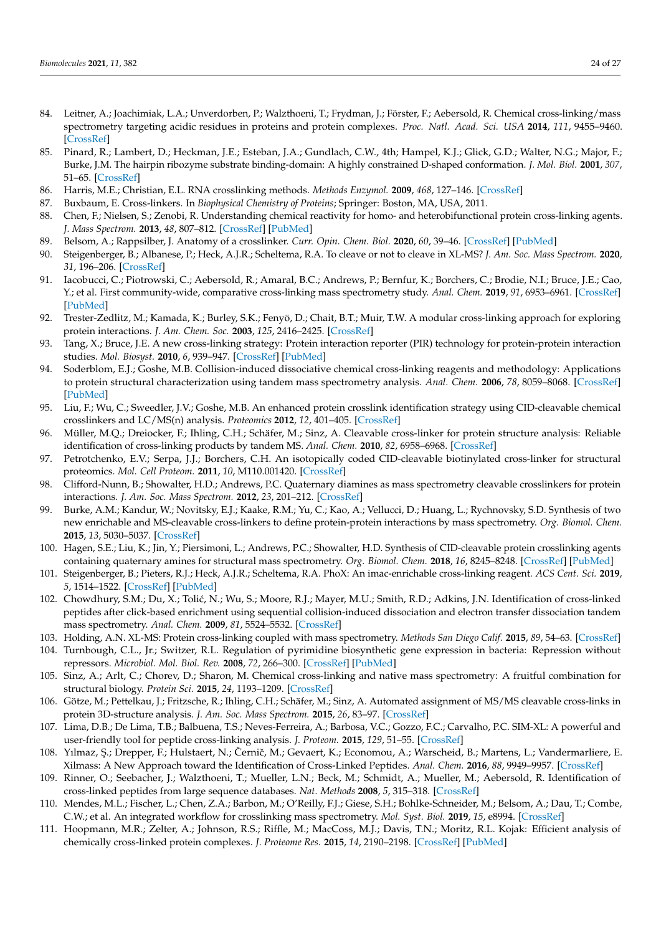- 84. Leitner, A.; Joachimiak, L.A.; Unverdorben, P.; Walzthoeni, T.; Frydman, J.; Förster, F.; Aebersold, R. Chemical cross-linking/mass spectrometry targeting acidic residues in proteins and protein complexes. *Proc. Natl. Acad. Sci. USA* **2014**, *111*, 9455–9460. [CrossRef]
- 85. Pinard, R.; Lambert, D.; Heckman, J.E.; Esteban, J.A.; Gundlach, C.W., 4th; Hampel, K.J.; Glick, G.D.; Walter, N.G.; Major, F.; Burke, J.M. The hairpin ribozyme substrate binding-domain: A highly constrained D-shaped conformation. *J. Mol. Biol.* **2001**, *307*, 51–65. [CrossRef]
- 86. Harris, M.E.; Christian, E.L. RNA crosslinking methods. *Methods Enzymol.* **2009**, *468*, 127–146. [CrossRef]
- 87. Buxbaum, E. Cross-linkers. In *Biophysical Chemistry of Proteins*; Springer: Boston, MA, USA, 2011.
- 88. Chen, F.; Nielsen, S.; Zenobi, R. Understanding chemical reactivity for homo- and heterobifunctional protein cross-linking agents. *J. Mass Spectrom.* **2013**, *48*, 807–812. [CrossRef] [PubMed]
- 89. Belsom, A.; Rappsilber, J. Anatomy of a crosslinker. *Curr. Opin. Chem. Biol.* **2020**, *60*, 39–46. [CrossRef] [PubMed]
- 90. Steigenberger, B.; Albanese, P.; Heck, A.J.R.; Scheltema, R.A. To cleave or not to cleave in XL-MS? *J. Am. Soc. Mass Spectrom.* **2020**, *31*, 196–206. [CrossRef]
- 91. Iacobucci, C.; Piotrowski, C.; Aebersold, R.; Amaral, B.C.; Andrews, P.; Bernfur, K.; Borchers, C.; Brodie, N.I.; Bruce, J.E.; Cao, Y.; et al. First community-wide, comparative cross-linking mass spectrometry study. *Anal. Chem.* **2019**, *91*, 6953–6961. [CrossRef] [PubMed]
- 92. Trester-Zedlitz, M.; Kamada, K.; Burley, S.K.; Fenyö, D.; Chait, B.T.; Muir, T.W. A modular cross-linking approach for exploring protein interactions. *J. Am. Chem. Soc.* **2003**, *125*, 2416–2425. [CrossRef]
- 93. Tang, X.; Bruce, J.E. A new cross-linking strategy: Protein interaction reporter (PIR) technology for protein-protein interaction studies. *Mol. Biosyst.* **2010**, *6*, 939–947. [CrossRef] [PubMed]
- 94. Soderblom, E.J.; Goshe, M.B. Collision-induced dissociative chemical cross-linking reagents and methodology: Applications to protein structural characterization using tandem mass spectrometry analysis. *Anal. Chem.* **2006**, *78*, 8059–8068. [CrossRef] [PubMed]
- 95. Liu, F.; Wu, C.; Sweedler, J.V.; Goshe, M.B. An enhanced protein crosslink identification strategy using CID-cleavable chemical crosslinkers and LC/MS(n) analysis. *Proteomics* **2012**, *12*, 401–405. [CrossRef]
- 96. Müller, M.Q.; Dreiocker, F.; Ihling, C.H.; Schäfer, M.; Sinz, A. Cleavable cross-linker for protein structure analysis: Reliable identification of cross-linking products by tandem MS. *Anal. Chem.* **2010**, *82*, 6958–6968. [CrossRef]
- 97. Petrotchenko, E.V.; Serpa, J.J.; Borchers, C.H. An isotopically coded CID-cleavable biotinylated cross-linker for structural proteomics. *Mol. Cell Proteom.* **2011**, *10*, M110.001420. [CrossRef]
- 98. Clifford-Nunn, B.; Showalter, H.D.; Andrews, P.C. Quaternary diamines as mass spectrometry cleavable crosslinkers for protein interactions. *J. Am. Soc. Mass Spectrom.* **2012**, *23*, 201–212. [CrossRef]
- 99. Burke, A.M.; Kandur, W.; Novitsky, E.J.; Kaake, R.M.; Yu, C.; Kao, A.; Vellucci, D.; Huang, L.; Rychnovsky, S.D. Synthesis of two new enrichable and MS-cleavable cross-linkers to define protein-protein interactions by mass spectrometry. *Org. Biomol. Chem.* **2015**, *13*, 5030–5037. [CrossRef]
- 100. Hagen, S.E.; Liu, K.; Jin, Y.; Piersimoni, L.; Andrews, P.C.; Showalter, H.D. Synthesis of CID-cleavable protein crosslinking agents containing quaternary amines for structural mass spectrometry. *Org. Biomol. Chem.* **2018**, *16*, 8245–8248. [CrossRef] [PubMed]
- 101. Steigenberger, B.; Pieters, R.J.; Heck, A.J.R.; Scheltema, R.A. PhoX: An imac-enrichable cross-linking reagent. *ACS Cent. Sci.* **2019**, *5*, 1514–1522. [CrossRef] [PubMed]
- 102. Chowdhury, S.M.; Du, X.; Tolić, N.; Wu, S.; Moore, R.J.; Mayer, M.U.; Smith, R.D.; Adkins, J.N. Identification of cross-linked peptides after click-based enrichment using sequential collision-induced dissociation and electron transfer dissociation tandem mass spectrometry. *Anal. Chem.* **2009**, *81*, 5524–5532. [CrossRef]
- 103. Holding, A.N. XL-MS: Protein cross-linking coupled with mass spectrometry. *Methods San Diego Calif.* **2015**, *89*, 54–63. [CrossRef]
- 104. Turnbough, C.L., Jr.; Switzer, R.L. Regulation of pyrimidine biosynthetic gene expression in bacteria: Repression without repressors. *Microbiol. Mol. Biol. Rev.* **2008**, *72*, 266–300. [CrossRef] [PubMed]
- 105. Sinz, A.; Arlt, C.; Chorev, D.; Sharon, M. Chemical cross-linking and native mass spectrometry: A fruitful combination for structural biology. *Protein Sci.* **2015**, *24*, 1193–1209. [CrossRef]
- 106. Götze, M.; Pettelkau, J.; Fritzsche, R.; Ihling, C.H.; Schäfer, M.; Sinz, A. Automated assignment of MS/MS cleavable cross-links in protein 3D-structure analysis. *J. Am. Soc. Mass Spectrom.* **2015**, *26*, 83–97. [CrossRef]
- 107. Lima, D.B.; De Lima, T.B.; Balbuena, T.S.; Neves-Ferreira, A.; Barbosa, V.C.; Gozzo, F.C.; Carvalho, P.C. SIM-XL: A powerful and user-friendly tool for peptide cross-linking analysis. *J. Proteom.* **2015**, *129*, 51–55. [CrossRef]
- 108. Yılmaz, Ş.; Drepper, F.; Hulstaert, N.; Černič, M.; Gevaert, K.; Economou, A.; Warscheid, B.; Martens, L.; Vandermarliere, E. Xilmass: A New Approach toward the Identification of Cross-Linked Peptides. *Anal. Chem.* **2016**, *88*, 9949–9957. [CrossRef]
- 109. Rinner, O.; Seebacher, J.; Walzthoeni, T.; Mueller, L.N.; Beck, M.; Schmidt, A.; Mueller, M.; Aebersold, R. Identification of cross-linked peptides from large sequence databases. *Nat. Methods* **2008**, *5*, 315–318. [CrossRef]
- 110. Mendes, M.L.; Fischer, L.; Chen, Z.A.; Barbon, M.; O'Reilly, F.J.; Giese, S.H.; Bohlke-Schneider, M.; Belsom, A.; Dau, T.; Combe, C.W.; et al. An integrated workflow for crosslinking mass spectrometry. *Mol. Syst. Biol.* **2019**, *15*, e8994. [CrossRef]
- 111. Hoopmann, M.R.; Zelter, A.; Johnson, R.S.; Riffle, M.; MacCoss, M.J.; Davis, T.N.; Moritz, R.L. Kojak: Efficient analysis of chemically cross-linked protein complexes. *J. Proteome Res.* **2015**, *14*, 2190–2198. [CrossRef] [PubMed]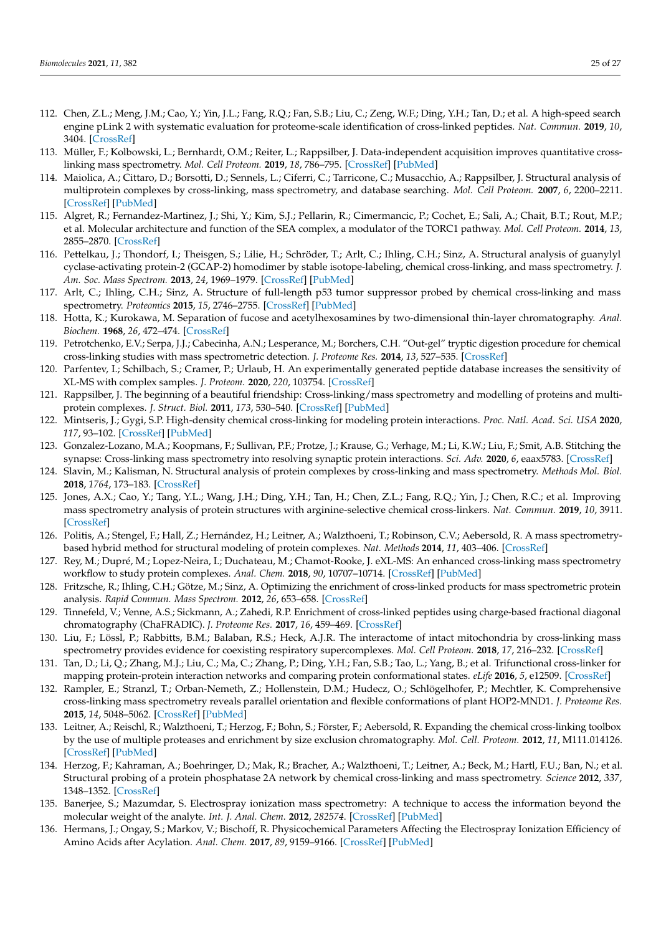- 112. Chen, Z.L.; Meng, J.M.; Cao, Y.; Yin, J.L.; Fang, R.Q.; Fan, S.B.; Liu, C.; Zeng, W.F.; Ding, Y.H.; Tan, D.; et al. A high-speed search engine pLink 2 with systematic evaluation for proteome-scale identification of cross-linked peptides. *Nat. Commun.* **2019**, *10*, 3404. [CrossRef]
- 113. Müller, F.; Kolbowski, L.; Bernhardt, O.M.; Reiter, L.; Rappsilber, J. Data-independent acquisition improves quantitative crosslinking mass spectrometry. *Mol. Cell Proteom.* **2019**, *18*, 786–795. [CrossRef] [PubMed]
- 114. Maiolica, A.; Cittaro, D.; Borsotti, D.; Sennels, L.; Ciferri, C.; Tarricone, C.; Musacchio, A.; Rappsilber, J. Structural analysis of multiprotein complexes by cross-linking, mass spectrometry, and database searching. *Mol. Cell Proteom.* **2007**, *6*, 2200–2211. [CrossRef] [PubMed]
- 115. Algret, R.; Fernandez-Martinez, J.; Shi, Y.; Kim, S.J.; Pellarin, R.; Cimermancic, P.; Cochet, E.; Sali, A.; Chait, B.T.; Rout, M.P.; et al. Molecular architecture and function of the SEA complex, a modulator of the TORC1 pathway. *Mol. Cell Proteom.* **2014**, *13*, 2855–2870. [CrossRef]
- 116. Pettelkau, J.; Thondorf, I.; Theisgen, S.; Lilie, H.; Schröder, T.; Arlt, C.; Ihling, C.H.; Sinz, A. Structural analysis of guanylyl cyclase-activating protein-2 (GCAP-2) homodimer by stable isotope-labeling, chemical cross-linking, and mass spectrometry. *J. Am. Soc. Mass Spectrom.* **2013**, *24*, 1969–1979. [CrossRef] [PubMed]
- 117. Arlt, C.; Ihling, C.H.; Sinz, A. Structure of full-length p53 tumor suppressor probed by chemical cross-linking and mass spectrometry. *Proteomics* **2015**, *15*, 2746–2755. [CrossRef] [PubMed]
- 118. Hotta, K.; Kurokawa, M. Separation of fucose and acetylhexosamines by two-dimensional thin-layer chromatography. *Anal. Biochem.* **1968**, *26*, 472–474. [CrossRef]
- 119. Petrotchenko, E.V.; Serpa, J.J.; Cabecinha, A.N.; Lesperance, M.; Borchers, C.H. "Out-gel" tryptic digestion procedure for chemical cross-linking studies with mass spectrometric detection. *J. Proteome Res.* **2014**, *13*, 527–535. [CrossRef]
- 120. Parfentev, I.; Schilbach, S.; Cramer, P.; Urlaub, H. An experimentally generated peptide database increases the sensitivity of XL-MS with complex samples. *J. Proteom.* **2020**, *220*, 103754. [CrossRef]
- 121. Rappsilber, J. The beginning of a beautiful friendship: Cross-linking/mass spectrometry and modelling of proteins and multiprotein complexes. *J. Struct. Biol.* **2011**, *173*, 530–540. [CrossRef] [PubMed]
- 122. Mintseris, J.; Gygi, S.P. High-density chemical cross-linking for modeling protein interactions. *Proc. Natl. Acad. Sci. USA* **2020**, *117*, 93–102. [CrossRef] [PubMed]
- 123. Gonzalez-Lozano, M.A.; Koopmans, F.; Sullivan, P.F.; Protze, J.; Krause, G.; Verhage, M.; Li, K.W.; Liu, F.; Smit, A.B. Stitching the synapse: Cross-linking mass spectrometry into resolving synaptic protein interactions. *Sci. Adv.* **2020**, *6*, eaax5783. [CrossRef]
- 124. Slavin, M.; Kalisman, N. Structural analysis of protein complexes by cross-linking and mass spectrometry. *Methods Mol. Biol.* **2018**, *1764*, 173–183. [CrossRef]
- 125. Jones, A.X.; Cao, Y.; Tang, Y.L.; Wang, J.H.; Ding, Y.H.; Tan, H.; Chen, Z.L.; Fang, R.Q.; Yin, J.; Chen, R.C.; et al. Improving mass spectrometry analysis of protein structures with arginine-selective chemical cross-linkers. *Nat. Commun.* **2019**, *10*, 3911. [CrossRef]
- 126. Politis, A.; Stengel, F.; Hall, Z.; Hernández, H.; Leitner, A.; Walzthoeni, T.; Robinson, C.V.; Aebersold, R. A mass spectrometrybased hybrid method for structural modeling of protein complexes. *Nat. Methods* **2014**, *11*, 403–406. [CrossRef]
- 127. Rey, M.; Dupré, M.; Lopez-Neira, I.; Duchateau, M.; Chamot-Rooke, J. eXL-MS: An enhanced cross-linking mass spectrometry workflow to study protein complexes. *Anal. Chem.* **2018**, *90*, 10707–10714. [CrossRef] [PubMed]
- 128. Fritzsche, R.; Ihling, C.H.; Götze, M.; Sinz, A. Optimizing the enrichment of cross-linked products for mass spectrometric protein analysis. *Rapid Commun. Mass Spectrom.* **2012**, *26*, 653–658. [CrossRef]
- 129. Tinnefeld, V.; Venne, A.S.; Sickmann, A.; Zahedi, R.P. Enrichment of cross-linked peptides using charge-based fractional diagonal chromatography (ChaFRADIC). *J. Proteome Res.* **2017**, *16*, 459–469. [CrossRef]
- 130. Liu, F.; Lössl, P.; Rabbitts, B.M.; Balaban, R.S.; Heck, A.J.R. The interactome of intact mitochondria by cross-linking mass spectrometry provides evidence for coexisting respiratory supercomplexes. *Mol. Cell Proteom.* **2018**, *17*, 216–232. [CrossRef]
- 131. Tan, D.; Li, Q.; Zhang, M.J.; Liu, C.; Ma, C.; Zhang, P.; Ding, Y.H.; Fan, S.B.; Tao, L.; Yang, B.; et al. Trifunctional cross-linker for mapping protein-protein interaction networks and comparing protein conformational states. *eLife* **2016**, *5*, e12509. [CrossRef]
- 132. Rampler, E.; Stranzl, T.; Orban-Nemeth, Z.; Hollenstein, D.M.; Hudecz, O.; Schlögelhofer, P.; Mechtler, K. Comprehensive cross-linking mass spectrometry reveals parallel orientation and flexible conformations of plant HOP2-MND1. *J. Proteome Res.* **2015**, *14*, 5048–5062. [CrossRef] [PubMed]
- 133. Leitner, A.; Reischl, R.; Walzthoeni, T.; Herzog, F.; Bohn, S.; Förster, F.; Aebersold, R. Expanding the chemical cross-linking toolbox by the use of multiple proteases and enrichment by size exclusion chromatography. *Mol. Cell. Proteom.* **2012**, *11*, M111.014126. [CrossRef] [PubMed]
- 134. Herzog, F.; Kahraman, A.; Boehringer, D.; Mak, R.; Bracher, A.; Walzthoeni, T.; Leitner, A.; Beck, M.; Hartl, F.U.; Ban, N.; et al. Structural probing of a protein phosphatase 2A network by chemical cross-linking and mass spectrometry. *Science* **2012**, *337*, 1348–1352. [CrossRef]
- 135. Banerjee, S.; Mazumdar, S. Electrospray ionization mass spectrometry: A technique to access the information beyond the molecular weight of the analyte. *Int. J. Anal. Chem.* **2012**, *282574*. [CrossRef] [PubMed]
- 136. Hermans, J.; Ongay, S.; Markov, V.; Bischoff, R. Physicochemical Parameters Affecting the Electrospray Ionization Efficiency of Amino Acids after Acylation. *Anal. Chem.* **2017**, *89*, 9159–9166. [CrossRef] [PubMed]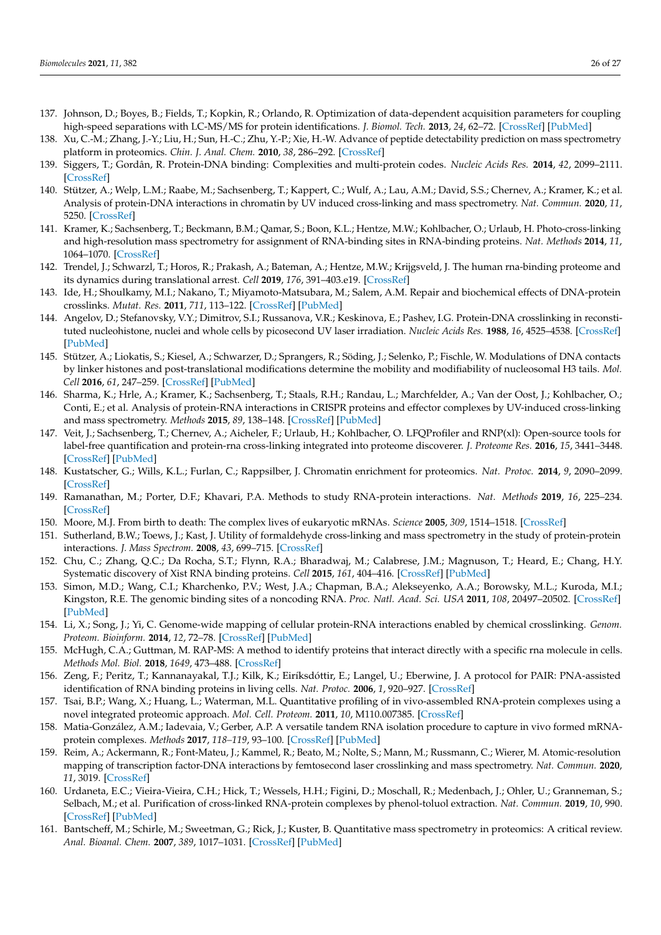- 137. Johnson, D.; Boyes, B.; Fields, T.; Kopkin, R.; Orlando, R. Optimization of data-dependent acquisition parameters for coupling high-speed separations with LC-MS/MS for protein identifications. *J. Biomol. Tech.* **2013**, *24*, 62–72. [CrossRef] [PubMed]
- 138. Xu, C.-M.; Zhang, J.-Y.; Liu, H.; Sun, H.-C.; Zhu, Y.-P.; Xie, H.-W. Advance of peptide detectability prediction on mass spectrometry platform in proteomics. *Chin. J. Anal. Chem.* **2010**, *38*, 286–292. [CrossRef]
- 139. Siggers, T.; Gordân, R. Protein-DNA binding: Complexities and multi-protein codes. *Nucleic Acids Res.* **2014**, *42*, 2099–2111. [CrossRef]
- 140. Stützer, A.; Welp, L.M.; Raabe, M.; Sachsenberg, T.; Kappert, C.; Wulf, A.; Lau, A.M.; David, S.S.; Chernev, A.; Kramer, K.; et al. Analysis of protein-DNA interactions in chromatin by UV induced cross-linking and mass spectrometry. *Nat. Commun.* **2020**, *11*, 5250. [CrossRef]
- 141. Kramer, K.; Sachsenberg, T.; Beckmann, B.M.; Qamar, S.; Boon, K.L.; Hentze, M.W.; Kohlbacher, O.; Urlaub, H. Photo-cross-linking and high-resolution mass spectrometry for assignment of RNA-binding sites in RNA-binding proteins. *Nat. Methods* **2014**, *11*, 1064–1070. [CrossRef]
- 142. Trendel, J.; Schwarzl, T.; Horos, R.; Prakash, A.; Bateman, A.; Hentze, M.W.; Krijgsveld, J. The human rna-binding proteome and its dynamics during translational arrest. *Cell* **2019**, *176*, 391–403.e19. [CrossRef]
- 143. Ide, H.; Shoulkamy, M.I.; Nakano, T.; Miyamoto-Matsubara, M.; Salem, A.M. Repair and biochemical effects of DNA-protein crosslinks. *Mutat. Res.* **2011**, *711*, 113–122. [CrossRef] [PubMed]
- 144. Angelov, D.; Stefanovsky, V.Y.; Dimitrov, S.I.; Russanova, V.R.; Keskinova, E.; Pashev, I.G. Protein-DNA crosslinking in reconstituted nucleohistone, nuclei and whole cells by picosecond UV laser irradiation. *Nucleic Acids Res.* **1988**, *16*, 4525–4538. [CrossRef] [PubMed]
- 145. Stützer, A.; Liokatis, S.; Kiesel, A.; Schwarzer, D.; Sprangers, R.; Söding, J.; Selenko, P.; Fischle, W. Modulations of DNA contacts by linker histones and post-translational modifications determine the mobility and modifiability of nucleosomal H3 tails. *Mol. Cell* **2016**, *61*, 247–259. [CrossRef] [PubMed]
- 146. Sharma, K.; Hrle, A.; Kramer, K.; Sachsenberg, T.; Staals, R.H.; Randau, L.; Marchfelder, A.; Van der Oost, J.; Kohlbacher, O.; Conti, E.; et al. Analysis of protein-RNA interactions in CRISPR proteins and effector complexes by UV-induced cross-linking and mass spectrometry. *Methods* **2015**, *89*, 138–148. [CrossRef] [PubMed]
- 147. Veit, J.; Sachsenberg, T.; Chernev, A.; Aicheler, F.; Urlaub, H.; Kohlbacher, O. LFQProfiler and RNP(xl): Open-source tools for label-free quantification and protein-rna cross-linking integrated into proteome discoverer. *J. Proteome Res.* **2016**, *15*, 3441–3448. [CrossRef] [PubMed]
- 148. Kustatscher, G.; Wills, K.L.; Furlan, C.; Rappsilber, J. Chromatin enrichment for proteomics. *Nat. Protoc.* **2014**, *9*, 2090–2099. [CrossRef]
- 149. Ramanathan, M.; Porter, D.F.; Khavari, P.A. Methods to study RNA-protein interactions. *Nat. Methods* **2019**, *16*, 225–234. [CrossRef]
- 150. Moore, M.J. From birth to death: The complex lives of eukaryotic mRNAs. *Science* **2005**, *309*, 1514–1518. [CrossRef]
- 151. Sutherland, B.W.; Toews, J.; Kast, J. Utility of formaldehyde cross-linking and mass spectrometry in the study of protein-protein interactions. *J. Mass Spectrom.* **2008**, *43*, 699–715. [CrossRef]
- 152. Chu, C.; Zhang, Q.C.; Da Rocha, S.T.; Flynn, R.A.; Bharadwaj, M.; Calabrese, J.M.; Magnuson, T.; Heard, E.; Chang, H.Y. Systematic discovery of Xist RNA binding proteins. *Cell* **2015**, *161*, 404–416. [CrossRef] [PubMed]
- 153. Simon, M.D.; Wang, C.I.; Kharchenko, P.V.; West, J.A.; Chapman, B.A.; Alekseyenko, A.A.; Borowsky, M.L.; Kuroda, M.I.; Kingston, R.E. The genomic binding sites of a noncoding RNA. *Proc. Natl. Acad. Sci. USA* **2011**, *108*, 20497–20502. [CrossRef] [PubMed]
- 154. Li, X.; Song, J.; Yi, C. Genome-wide mapping of cellular protein-RNA interactions enabled by chemical crosslinking. *Genom. Proteom. Bioinform.* **2014**, *12*, 72–78. [CrossRef] [PubMed]
- 155. McHugh, C.A.; Guttman, M. RAP-MS: A method to identify proteins that interact directly with a specific rna molecule in cells. *Methods Mol. Biol.* **2018**, *1649*, 473–488. [CrossRef]
- 156. Zeng, F.; Peritz, T.; Kannanayakal, T.J.; Kilk, K.; Eiríksdóttir, E.; Langel, U.; Eberwine, J. A protocol for PAIR: PNA-assisted identification of RNA binding proteins in living cells. *Nat. Protoc.* **2006**, *1*, 920–927. [CrossRef]
- 157. Tsai, B.P.; Wang, X.; Huang, L.; Waterman, M.L. Quantitative profiling of in vivo-assembled RNA-protein complexes using a novel integrated proteomic approach. *Mol. Cell. Proteom.* **2011**, *10*, M110.007385. [CrossRef]
- 158. Matia-González, A.M.; Iadevaia, V.; Gerber, A.P. A versatile tandem RNA isolation procedure to capture in vivo formed mRNAprotein complexes. *Methods* **2017**, *118–119*, 93–100. [CrossRef] [PubMed]
- 159. Reim, A.; Ackermann, R.; Font-Mateu, J.; Kammel, R.; Beato, M.; Nolte, S.; Mann, M.; Russmann, C.; Wierer, M. Atomic-resolution mapping of transcription factor-DNA interactions by femtosecond laser crosslinking and mass spectrometry. *Nat. Commun.* **2020**, *11*, 3019. [CrossRef]
- 160. Urdaneta, E.C.; Vieira-Vieira, C.H.; Hick, T.; Wessels, H.H.; Figini, D.; Moschall, R.; Medenbach, J.; Ohler, U.; Granneman, S.; Selbach, M.; et al. Purification of cross-linked RNA-protein complexes by phenol-toluol extraction. *Nat. Commun.* **2019**, *10*, 990. [CrossRef] [PubMed]
- 161. Bantscheff, M.; Schirle, M.; Sweetman, G.; Rick, J.; Kuster, B. Quantitative mass spectrometry in proteomics: A critical review. *Anal. Bioanal. Chem.* **2007**, *389*, 1017–1031. [CrossRef] [PubMed]